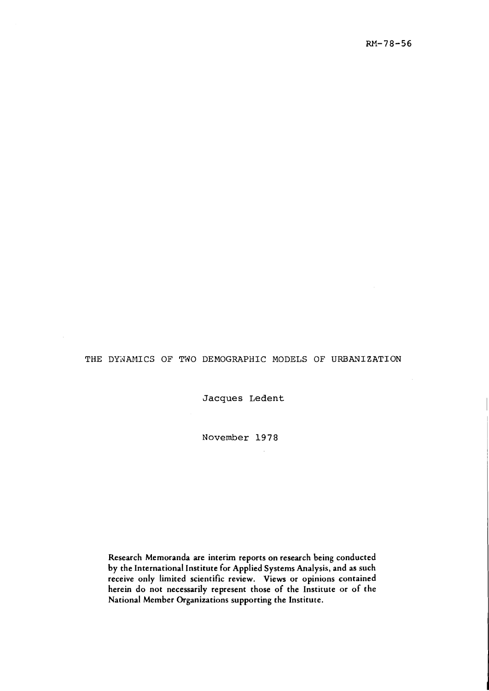## THE DYNAMICS OF TWO DEMOGRAPHIC MODELS OF URBANIZATION

Jacques Ledent

November **1978** 

 $\sim 10^7$ 

**Research Memoranda are interim reports on research being conducted by the International Institute for Applied Systems Analysis, and as such receive only limited scientific review. Views or opinions contained herein do not necessarily represent those of the Institute or of the National Member Organizations supporting the Institute.**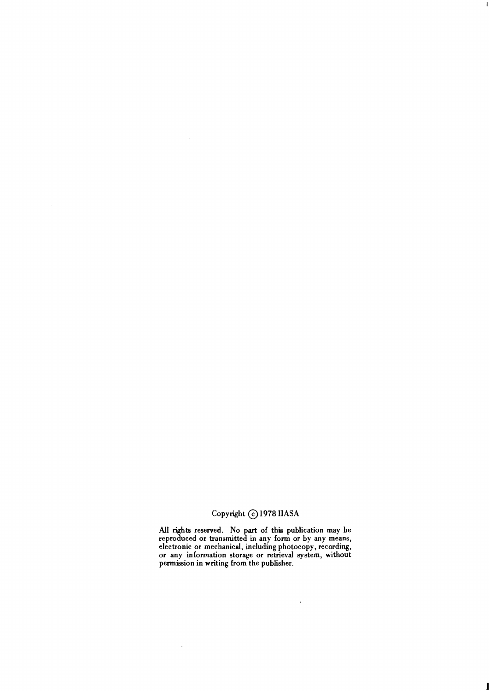# Copyright C1978 IIASA

 $\mathbf{I}$ 

All rights reserved. No part of this publication may be reproduced or transmitted in any form or by any means, electronic or mechanical, including photocopy, recording, or any information storage or retrieval system, witho

 $\mathcal{L}^{\pm}$ 

 $\epsilon$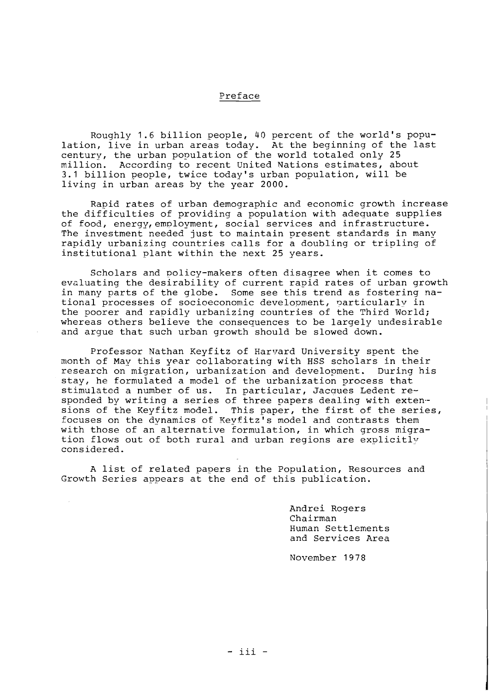## Preface

Roughly 1.6 billion people, 40 percent of the world's population, live in urban areas today. At the beginning of the last century, the urban population of the world totaled only 25 million. According to recent United Nations estimates, ab According to recent United Nations estimates, about 3.1 billion people, twice today's urban population, will be living in urban areas by the year 2000.

Rapid rates of urban demographic and economic growth increase the difficulties of providing a population with adequate supplies of food, energy, employment, social services and infrastructure. The investment needed just to maintain present standards in many rapidly urbanizing countries calls for a doubling or tripling of institutional plant within the next 25 years.

Scholars and policy-makers often disagree when it comes to evaluating the desirability of current rapid rates of urban growth in many parts of the globe. Some see this trend as fostering national processes of socioeconomic development, particularly in the poorer and rapidly urbanizing countries of the Third World; whereas others believe the consequences to be largely undesirable and argue that such urban growth should be slowed down.

Professor Nathan Keyfitz of Harvard University spent the month of May this year collaborating with HSS scholars in their research on migration, urbanization and development. During his stay, he formulated a model of the urbanization process that stimulated a number of us. In particular, Jacques Ledent responded by writing a series of three papers dealing with extensions of the Keyfitz model. This paper, the first of the series, focuses on the dynamics of Keyfitz's model and contrasts them with those of an alternative formulation, in which gross migration flows out of both rural and urban regions are explicitly considered.

A list of related papers in the Population, Resources and Growth Series appears at the end of this publication.

> Andrei Rogers Chairman Human Settlements and Services Area

November 1978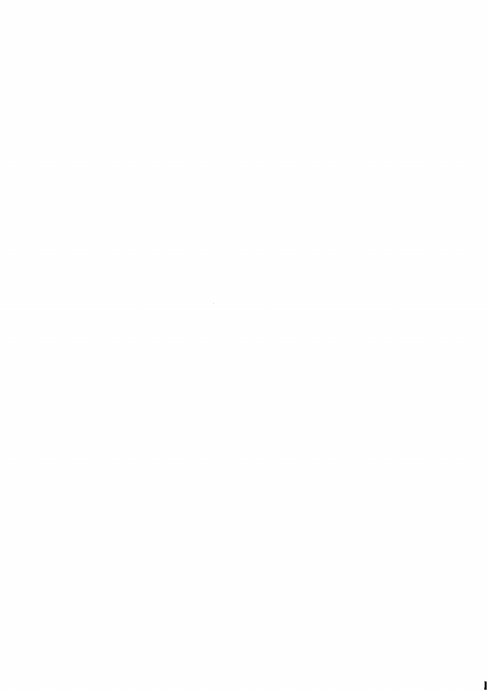$\label{eq:2.1} \frac{1}{\sqrt{2}}\int_{0}^{\infty}\frac{1}{\sqrt{2\pi}}\left(\frac{1}{\sqrt{2\pi}}\right)^{2}d\mu\left(\frac{1}{\sqrt{2\pi}}\right)\frac{d\mu}{d\mu}d\mu\left(\frac{1}{\sqrt{2\pi}}\right).$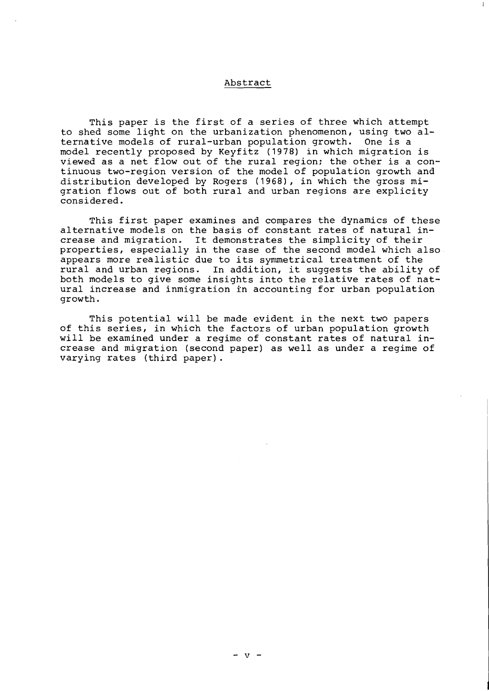#### Abstract

This paper is the first of a series of three which attempt to shed some light on the urbanization phenomenon, using two al-<br>ternative models of rural-urban population growth. One is a ternative models of rural-urban population growth. model recently proposed by Keyfitz (1978) in which migration is viewed as a net flow out of the rural region; the other is a continuous two-region version of the model of population growth and distribution developed by Rogers (1968), in which the gross migration flows out of both rural and urban regions are explicity considered.

This first paper examines and compares the dynamics of these alternative models on the basis of constant rates of natural increase and migration. It demonstrates the simplicity of their properties, especially in the case of the second model which also appears more realistic due to its symmetrical treatment of the rural and urban regions. In addition, it suggests the ability In addition, it suggests the ability of both models to give some insights into the relative rates of natural increase and inmigration in accounting for urban population growth.

This potential will be made evident in the next two papers of this series, in which the factors of urban population growth will be examined under a regime of constant rates of natural increase and migration (second paper) as well as under a regime of varying rates (third paper).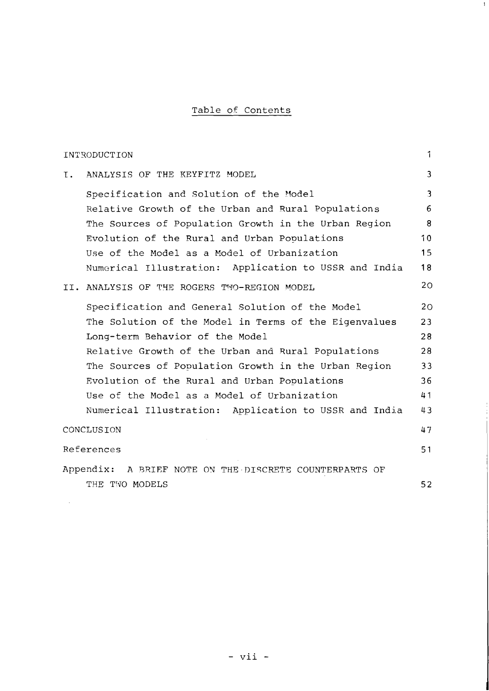# Table of Contents

 $\mathbf{1}$ 

| INTRODUCTION                                           | 1  |
|--------------------------------------------------------|----|
| ANALYSIS OF THE KEYFITZ MODEL<br>τ.                    | 3  |
| Specification and Solution of the Model                | 3  |
| Relative Growth of the Urban and Rural Populations     | 6  |
| The Sources of Population Growth in the Urban Region   | 8  |
| Evolution of the Rural and Urban Populations           | 10 |
| Use of the Model as a Model of Urbanization            | 15 |
| Numerical Illustration: Application to USSR and India  | 18 |
| ANALYSIS OF THE ROGERS TWO-REGION MODEL<br>II.         | 20 |
| Specification and General Solution of the Model        | 20 |
| The Solution of the Model in Terms of the Eigenvalues  | 23 |
| Long-term Behavior of the Model                        | 28 |
| Relative Growth of the Urban and Rural Populations     | 28 |
| The Sources of Population Growth in the Urban Region   | 33 |
| Evolution of the Rural and Urban Populations           | 36 |
| Use of the Model as a Model of Urbanization            | 41 |
| Numerical Illustration: Application to USSR and India  | 43 |
| CONCLUSION                                             | 47 |
| References                                             | 51 |
| Appendix: A BRIEF NOTE ON THE DISCRETE COUNTERPARTS OF |    |
| THE TWO MODELS                                         | 52 |

 $\mathcal{L}^{\text{max}}_{\text{max}}$  , where  $\mathcal{L}^{\text{max}}_{\text{max}}$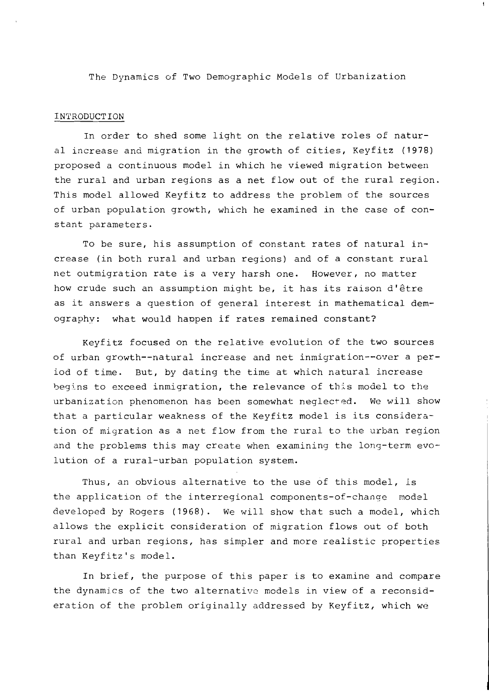The Dynamics of Two Demographic Models of Urbanization

#### INTRODUCTION

In order to shed some light on the relative roles of natural increase and migration in the growth of cities, Keyfitz (1978) proposed a continuous model in which he viewed migration between the rural and urban regions as a net flow out of the rural region. This model allowed Keyfitz to address the problem of the sources of urban population growth, which he examined in the case of constant parameters.

To be sure, his assumption of constant rates of natural increase (in both rural and urban regions) and of a constant rural net outmigration rate is a very harsh one. However, no matter how crude such an assumption might be, it has its raison d'être as it answers a question of general interest in mathematical demography: what would happen if rates remained constant?

Keyfitz focused on the relative evolution of the two sources of urban growth--natural increase and net inmigration--ever a period of time. But, by dating the time at which natural increase begins to exceed inmigration, the relevance of this model to the urbanization phenomenon has been somewhat neglected. We will show that a particular weakness of the Keyfitz model is its consideration of migration as a net flow from the rural to the urban region and the problems this may create when examining the long-term evolution of a rural-urban population system.

Thus, an obvious alternative to the use of this model, is the application of the interregional components-of-chanqe model developed by Rogers (1968). We will show that such a model, which allows the explicit consideration of migration flows out of both rural and urban regions, has simpler and more realistic properties than Keyfitz's model.

In brief, the purpose of this paper is to examine and compare the dynamics of the two alternative models in view of a reconsideration of the problem originally addressed by Keyfitz, which we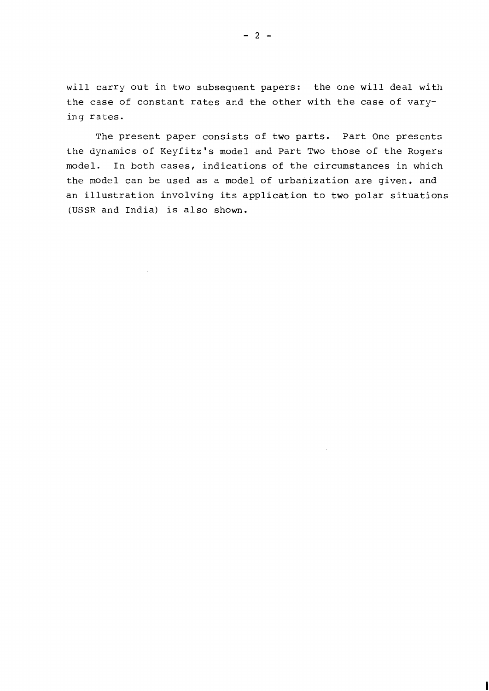will carry out in two subsequent papers: the one will deal with the case of constant rates and the other with the case of varying rates.

The present paper consists of two parts. Part One presents the dynamics of Keyfitz's model and Part Two those of the Rogers model. In both cases, indications of the circumstances in which the model can be used as a model of urbanization are given, and an illustration involving its application to two polar situations (USSR and India) is also shown.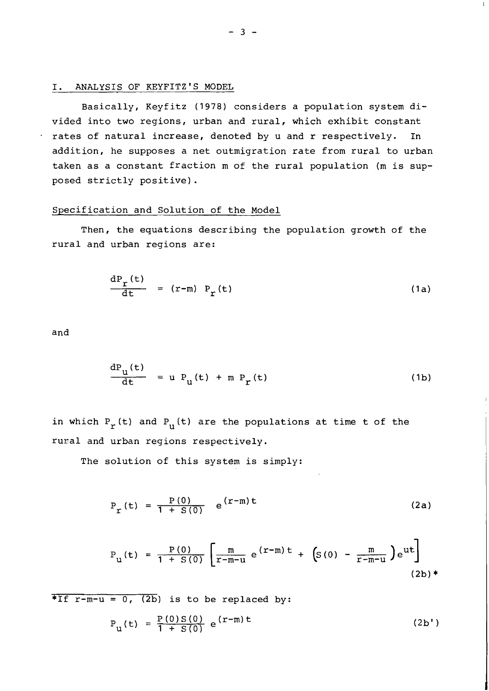### I. ANALYSIS OF KEYFITZ'S MODEL

Basically, Keyfitz (1978) considers a population system divided into two regions, urban and rural, which exhibit constant rates of natural increase, denoted by u and r respectively. In addition, he supposes a net outmigration rate from rural to urban taken as a constant fraction m of the rural population (m is supposed strictly positive).

### Specification and Solution of the Model

Then, the equations describing the population growth of the rural and urban regions are:

$$
\frac{dP_r(t)}{dt} = (r-m) P_r(t)
$$
 (1a)

and

$$
\frac{dP_{u}(t)}{dt} = u P_{u}(t) + m P_{r}(t)
$$
 (1b)

in which  $P_r(t)$  and  $P_u(t)$  are the populations at time t of the rural and urban regions respectively.

The solution of this system is simply:

$$
P_{r}(t) = \frac{P(0)}{1 + S(0)} e^{(r-m)t}
$$
 (2a)

$$
P_{u}(t) = \frac{P(0)}{1 + S(0)} \left[ \frac{m}{r - m - u} e^{(r - m)t} + \left( S(0) - \frac{m}{r - m - u} \right) e^{ut} \right]
$$
\n(2b)\*

\*If  $r-m-u = 0$ , (2b) is to be replaced by:

$$
P_{u}(t) = \frac{P(0)S(0)}{1 + S(0)} e^{(r-m)t}
$$
 (2b')

 $\mathbf{I}$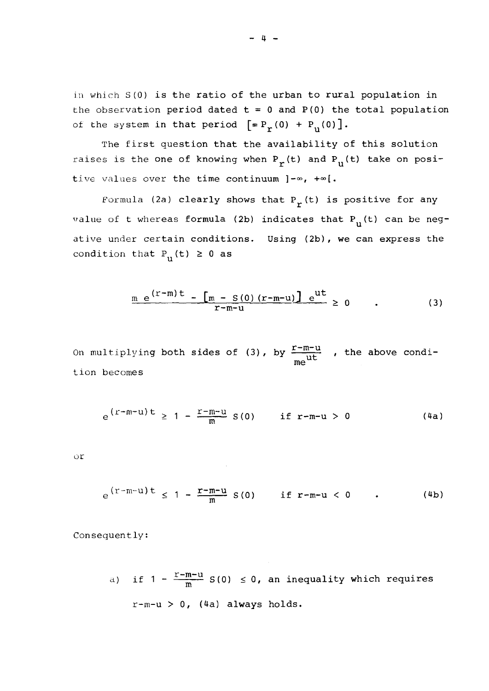in which  $S(0)$  is the ratio of the urban to rural population in the observation period dated  $t = 0$  and P(0) the total population of the system in that period  $\left[{}_{\pm}P_{r}(0) + P_{n}(0)\right]$ .

The first question that the availability of this solution raises is the one of knowing when  $P_r(t)$  and  $P_u(t)$  take on positive values over the time continuum  $]-\infty$ ,  $+\infty[$ .

Formula (2a) clearly shows that  $P_r(t)$  is positive for any value of t whereas formula (2b) indicates that  $P_{\text{u}}(t)$  can be negative under certain conditions. Using (2b), we can express the condition that  $P_{11}(t) \ge 0$  as

$$
\frac{m e^{(r-m)t} - [m - S(0) (r-m-u)] e^{ut}}{r-m-u} \ge 0
$$
 (3)

On multiplying both sides of (3), by  $\frac{r-m-u}{ut}$  , the above condime <sup>-</sup> tion becomes

$$
e^{(r-m-u)t} \ge 1 - \frac{r-m-u}{m} S(0)
$$
 if  $r-m-u > 0$  (4a)

 $or$ 

$$
e^{(r-m-u)t} \le 1 - \frac{r-m-u}{m} S(0)
$$
 if  $r-m-u < 0$  (4b)

Consequently :

a) if 
$$
1 - \frac{r-m-u}{m} S(0) \le 0
$$
, an inequality which requires  $r-m-u > 0$ , (4a) always holds.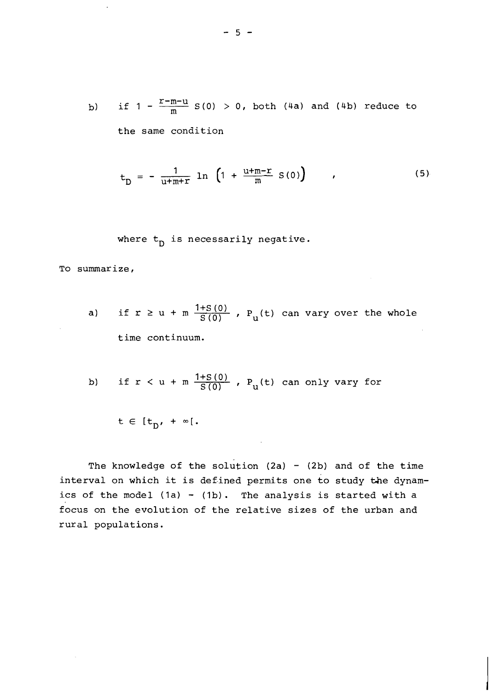b) if 
$$
1 - \frac{r - m - u}{m}
$$
 s(0) > 0, both (4a) and (4b) reduce to

the same condition

$$
t_{D} = -\frac{1}{u+m+r} \ln \left(1 + \frac{u+m-r}{m} S(0)\right) \qquad , \qquad (5)
$$

where  $t_{\text{D}}$  is necessarily negative.

TO summarize,

a) if 
$$
r \ge u + m \frac{1+S(0)}{S(0)}
$$
,  $P_u(t)$  can vary over the whole  
time continuum.

b) if 
$$
r < u + m \frac{1 + S(0)}{S(0)}
$$
,  $P_u(t)$  can only vary for

$$
t \in [t_{p'} + \infty[
$$

The knowledge of the solution (2a) - (2b) and of the time interval on which it is defined permits one to study the dynamics of the model (1a) - (1b). The analysis is started with a focus on the evolution of the relative sizes of the urban and rural populations.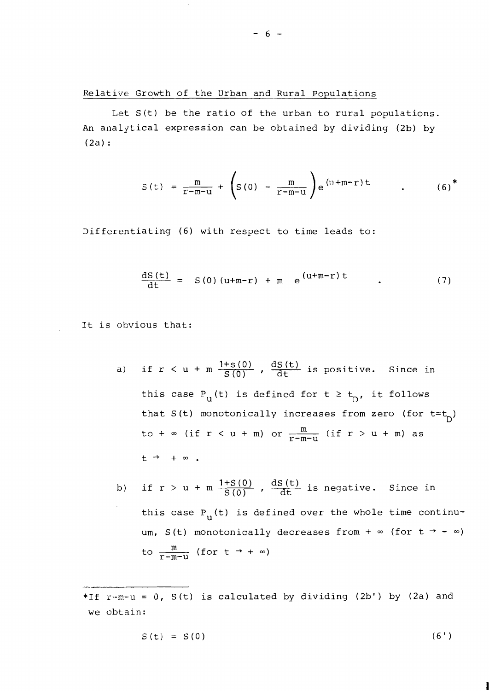Relative Growth of the Urban and Rural Populations

Let  $S(t)$  be the ratio of the urban to rural populations. An analytical expression can be obtained by dividing (2b) by (2a) : (t) be the ratio of the urban to rural<br>cal expression can be obtained by divid<br> $S(t) = \frac{m}{r-m-u} + \left(S(0) - \frac{m}{r-m-u}\right)e^{(u+m-r)t}$ 

$$
S(t) = \frac{m}{r - m - u} + \left(S(0) - \frac{m}{r - m - u}\right) e^{(u + m - r)t} \qquad . \qquad (6)
$$

Differentiating (6) with respect to time leads to:

$$
\frac{dS(t)}{dt} = S(0) (u+m-r) + m e^{(u+m-r)t}
$$
 (7)

It is obvious that:

- a) if  $r < u + m \frac{1+s(0)}{S(0)}$ ,  $\frac{dS(t)}{dt}$  is positive. Since in this case  $P_u(t)$  is defined for  $t \ge t_D$ , it follows that S(t) monotonically increases from zero (for  $t=t_0$ ) to +  $\infty$  (if  $r < u + m$ ) or  $\frac{m}{r-m-u}$  (if  $r > u + m$ ) as  $t \rightarrow +\infty$ .
- b) if  $r > u + m \frac{1+S(0)}{S(0)}$ ,  $\frac{dS(t)}{dt}$  is negative. Since in this case  $P_{11}(t)$  is defined over the whole time continuum, S(t) monotonically decreases from +  $\infty$  (for t  $\rightarrow$  -  $\infty$ ) to  $\frac{m}{r-m-u}$  (for  $t \rightarrow +\infty$ )

$$
S(t) = S(0) \tag{6'}
$$

<sup>\*</sup>If  $r-m-u = 0$ ,  $S(t)$  is calculated by dividing (2b') by (2a) and we obtain: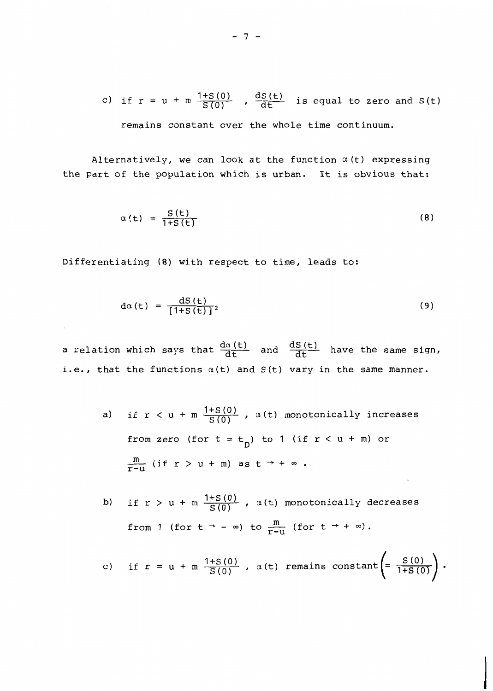c) if 
$$
r = u + m \frac{1+S(0)}{S(0)}
$$
,  $\frac{dS(t)}{dt}$  is equal to zero and S(t)  
remains constant over the whole time continuum.

Alternatively, we can look at the function  $\alpha$  (t) expressing the part of the population which is urban. It is obvious that:

$$
\alpha(t) = \frac{S(t)}{1+S(t)}
$$
 (8)

Differentiating (8) with respect to time, leads to:

$$
d\alpha(t) = \frac{dS(t)}{[1+S(t)]^2}
$$
 (9)

a relation which says that  $\frac{d\alpha(t)}{dt}$  and  $\frac{dS(t)}{dt}$  have the same sign, i.e., that the functions  $\alpha(t)$  and  $S(t)$  vary in the same manner.

- a) if  $r < u + m \frac{1+S(0)}{S(0)}$ ,  $\alpha(t)$  monotonically increases from zero (for  $t = t_D$ ) to 1 (if  $r < u + m$ ) or if  $r < u + m \frac{1+S(U)}{S(0)}$ ,  $\alpha(t)$  monoto<br>
from zero (for  $t = t_D$ ) to 1 (if  $n = \frac{m}{1-u}$  (if  $r > u + m$ ) as  $t \to +\infty$ .  $\frac{m}{r-u}$  (if  $r > u + m$ ) as  $t \to +\infty$ .
- b) if  $r > u + m \frac{1+S(0)}{S(0)}$ ,  $\alpha(t)$  monotonically decreases from 1 (for  $t \to -\infty$ ) to  $\frac{m}{r-u}$  (for  $t \to +\infty$ ).

c) if  $r=u+m \frac{1+S(0)}{S(0)}$ ,  $\alpha(t)$  remains constant  $\left(=\frac{S(0)}{1+S(0)}\right)$ .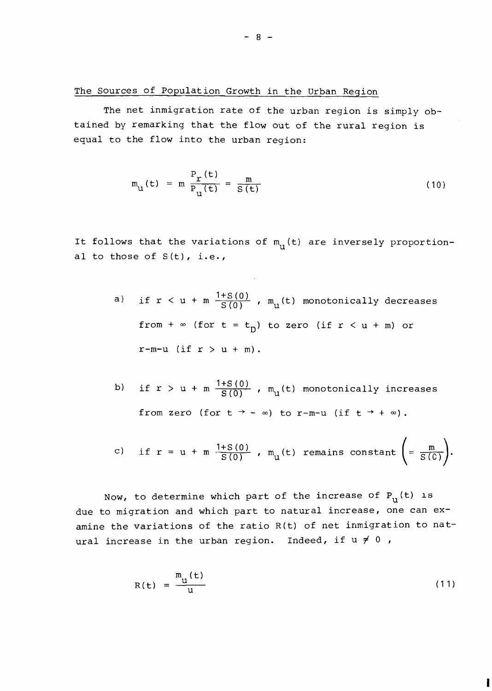The Sources of Population Growth in the Urban Region

The net inmigration rate of the urban region is simply obtained by remarking that the flow out of the rural region is equal to the flow into the urban region:

$$
m_{\mathbf{u}}(t) = m \frac{P_{r}(t)}{P_{n}(t)} = \frac{m}{S(t)}
$$
 (10)

It follows that the variations of  $m_{11}$ (t) are inversely proportional to those of S(t), i.e.,

- a) if  $r < u + m \frac{1+S(0)}{S(0)}$  ,  $m_u(t)$  monotonically decreases from  $+ \infty$  (for  $t = t_n$ ) to zero (if  $r < u + m$ ) or  $r-m-u$  (if  $r > u + m$ ).
- b) if  $r > u + m \frac{1+S(0)}{S(0)}$ ,  $m_u(t)$  monotonically increases from zero (for  $t \rightarrow -\infty$ ) to r-m-u (if  $t \rightarrow +\infty$ ).

c) if 
$$
r = u + m \frac{1+S(0)}{S(0)}
$$
,  $m_u(t)$  remains constant  $\left( = \frac{m}{S(0)} \right)$ .

Now, to determine which part of the increase of  $P_u(t)$  is due to migration and which part to natural increase, one can examine the variations of the ratio R(t) of net inmigration to natural increase in the urban region. Indeed, if  $u \neq 0$ ,

$$
R(t) = \frac{m_u(t)}{u} \tag{11}
$$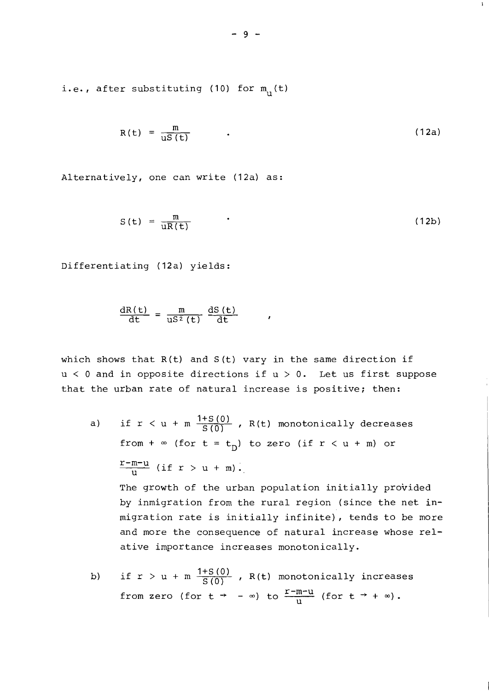i.e., after substituting (10) for m<sub>n</sub>(t)

r substituting (10) for 
$$
m_u(t)
$$
  
\n
$$
R(t) = \frac{m}{uS(t)} \qquad (12a)
$$

 $\mathbf{I}$ 

Alternatively, one can write (12a) as:

$$
S(t) = \frac{m}{uR(t)} \qquad (12b)
$$

 $\lambda$ 

Differentiating (12a) yields:

$$
\frac{dR(t)}{dt} = \frac{m}{uS^2(t)} \frac{dS(t)}{dt}
$$

which shows that  $R(t)$  and  $S(t)$  vary in the same direction if  $u < 0$  and in opposite directions if  $u > 0$ . Let us first suppose that the urban rate of natural increase is positive; then:

a) if  $r < u + m \frac{1+S(0)}{S(0)}$ ,  $R(t)$  monotonically decreases from +  $\infty$  (for t = t<sub>D</sub>) to zero (if r < u + m) or  $\frac{r-m-u}{u}$  (if  $r > u + m$ ).

The growth of the urban population initially provided by inmigration from the rural region (since the net inmigration rate is initially infinite), tends to be more and more the consequence of natural increase whose relative importance increases monotonically.

b) if 
$$
r > u + m \frac{1+S(0)}{S(0)}
$$
,  $R(t)$  monotonically increases  
from zero (for  $t \rightarrow -\infty$ ) to  $\frac{r-m-u}{u}$  (for  $t \rightarrow +\infty$ ).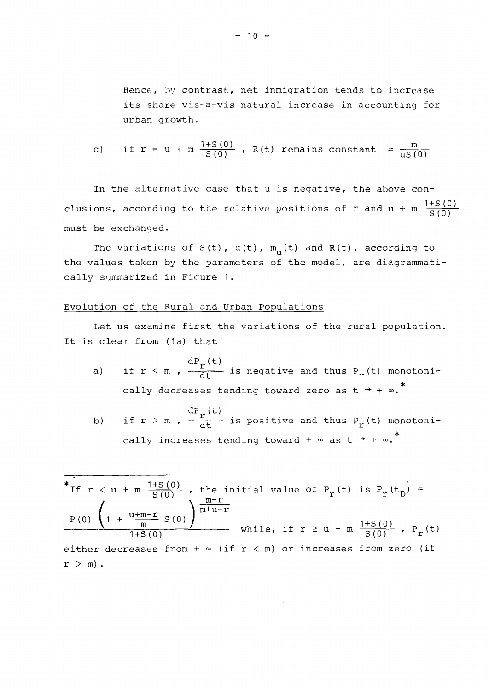Hence, by contrast, net inmigration tends to increase its share vis-a-vis natural increase in accounting for urban growth.

c) if 
$$
r = u + m \frac{1+S(0)}{S(0)}
$$
,  $R(t)$  remains constant =  $\frac{m}{uS(0)}$ 

In the alternative case that u is negative, the above conclusions, according to the relative positions of r and  $u + m \frac{1+S(0)}{S(0)}$  $\frac{1}{S(0)}$ must be exchanged.

The variations of S(t),  $\alpha(t)$ ,  $m_{11}(t)$  and R(t), according to the values taken by the parameters of the model, are diagrammatically summarized in Figure 1.

#### Evolution of the Rural and Urban Populations

Let us examine first the variations of the rural population. It is clear from (la) that

- a) if  $r < m$  ,  $\frac{dp_r(t)}{dt}$  is negative and thus P<sub>r</sub>(t) monotonically decreases tending toward zero as  $t \rightarrow + \infty$ .<sup>\*</sup>
- $\texttt{dF}_{\bm r}$  (c)  $\texttt{d}$ b) if  $r > m$ ,  $\frac{1}{dt}$  is positive and thus  $P_r(t)$  monotonically increases tending toward +  $\infty$  as t  $\rightarrow$  +  $\infty$ .

\*
$$
r = \frac{1 + S(0)}{S(0)},
$$
 the initial value of  $P_r(t)$  is  $P_r(t_p) =$   
\n
$$
P(0) = \left(1 + \frac{u + m - r}{m} S(0)\right)^{\frac{m - r}{m + u - r}}
$$
 while, if  $r \ge u + m \frac{1 + S(0)}{S(0)}$ ,  $P_r(t)$   
\neither decreases from +  $\infty$  (if  $r < m$ ) or increases from zero (if  $r > m$ ).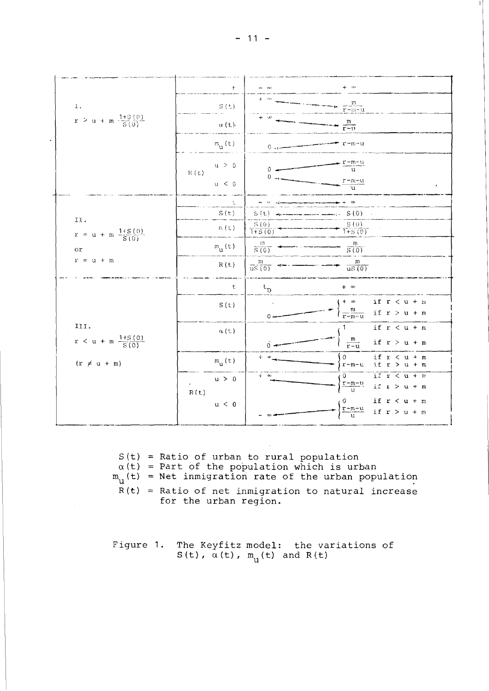|                                   | t.                               | – യ                           | $+\circ$                                                                                                               |
|-----------------------------------|----------------------------------|-------------------------------|------------------------------------------------------------------------------------------------------------------------|
| $1\,.$                            | S(t)                             | $+ - \infty$                  | $\frac{m}{r-m-u}$                                                                                                      |
| $r > u + m \frac{1+S(0)}{S(0)}$   | $\alpha$ (t).                    | + ∽                           | $\frac{m}{r-v}$                                                                                                        |
|                                   | $m_{\rm u}$ (t)                  | $0 -$                         | −ո−ս                                                                                                                   |
|                                   | u > 0<br>R(t)                    | O.<br>$\overline{0}$          | <u>r-m-u</u><br>u                                                                                                      |
|                                   | u < 0                            |                               | $rac{r-m+u}{u}$                                                                                                        |
|                                   | U                                |                               |                                                                                                                        |
| II.                               | S(t)                             | S(t)                          | S(0)                                                                                                                   |
| $r = u + m \frac{1 + S(0)}{S(0)}$ | $\alpha(t)$                      | $\frac{5(0)}{1+5(0)}$         | $\frac{S(0)}{1+S(0)}$                                                                                                  |
| or                                | $m_{\rm u}$ (t)                  | $rac{\text{in}}{\text{S}(0)}$ | $\frac{m}{5(0)}$                                                                                                       |
| $r = u + m$                       | R(t)                             | $\frac{m}{\pi s(0)}$          | $\frac{m}{\text{uS}(0)}$                                                                                               |
|                                   | t                                | $t_{\rm D}$                   | $+ \circ$                                                                                                              |
|                                   | S(t)                             | $0 -$                         | if $r < u + u$<br>$+$ $\infty$<br>$\frac{m}{r-m-u}$<br>$if r > u + m$                                                  |
| III.                              | $\alpha$ (t)                     |                               | if $r < u + m$<br>1                                                                                                    |
| $r < u + m \frac{1 + S(0)}{S(0)}$ |                                  | Õ                             | $\frac{m}{r-u}$<br>if $r > u + m$                                                                                      |
| $(r \neq u + m)$                  | $m_{\rm u}^{\phantom{\dag}}$ (t) | $+ \alpha$                    | if $r < u + m$<br>0<br>if $r > u + m$<br>$r - m - u$                                                                   |
|                                   | u > 0<br>R(t)                    | $\div$ $\infty$               | $if r < u + m$<br>$\overline{0}$<br>$\frac{\mathfrak{r}{-}\mathfrak{m}{-}\upsilon}{\upsilon}$<br>$i\text{f r} > u + m$ |
|                                   | $u \leq 0$                       |                               | $if r < u + m$<br>0<br>$rac{r-m-u}{u}$<br>if $r > u + m$                                                               |
|                                   |                                  |                               |                                                                                                                        |

 $S(t)$  = Ratio of urban to rural population<br>  $\alpha(t)$  = Part of the population which is urban<br>  $m_u(t)$  = Net inmigration rate of the urban population  $R(t)$  = Ratio of net inmigration to natural increase for the urban region.

The Keyfitz model: the variations of  $S(t)$ ,  $\alpha(t)$ ,  $m_u(t)$  and  $R(t)$ Figure 1.

 $-11 -$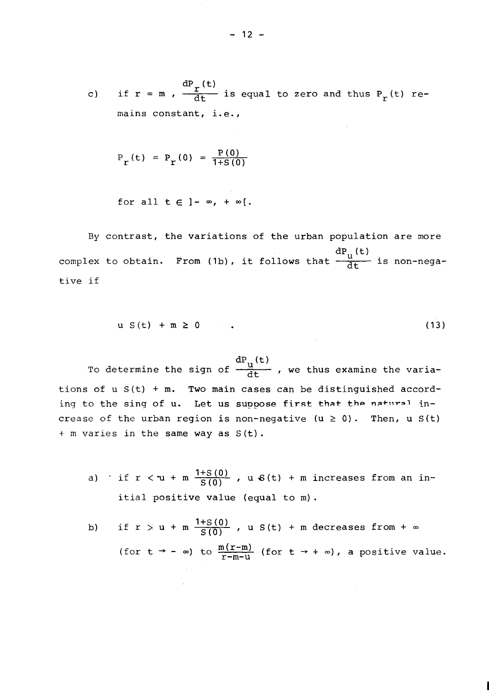$dp$ <sub>r</sub> (t) . c) if  $r = m$ ,  $\frac{dr}{dt}$  is equal to zero and thus  $P_r(t)$  remains constant, i.e.,

$$
P_r(t) = P_r(0) = \frac{P(0)}{1+S(0)}
$$

for all 
$$
t \in ]-\infty, +\infty[
$$
.

By contrast, the variations of the urban population are more  $dp_u^{\dagger}(t)$  . complex to obtain. From (1b), it follows that  $\frac{dP_{u}(t)}{dt}$  is non-negative if

$$
u S(t) + m \ge 0 \qquad . \tag{13}
$$

 $dP$ <sub>u</sub> $(t)$ To determine the sign of  $\frac{dP_{u}(t)}{dt}$  , we thus examine the variations of u S(t) + m. Two main cases can be distinguished according to the sing of u. Let us suppose first that the natural increase of the urban region is non-negative  $(u \ge 0)$ . Then, u S(t) 4- m varies in the same way as S(t).

- a) 'if  $r < u + m \frac{1+S(0)}{S(0)}$ ,  $u S(t) + m$  increases from an initial positive value (equal to m).
- b) if  $r > u + m \frac{1+S(0)}{S(0)}$ , u S(t) + m decreases from +  $\infty$ (for  $t \to -\infty$ ) to  $\frac{m(r-m)}{r-m-u}$  (for  $t \to +\infty$ ), a positive value.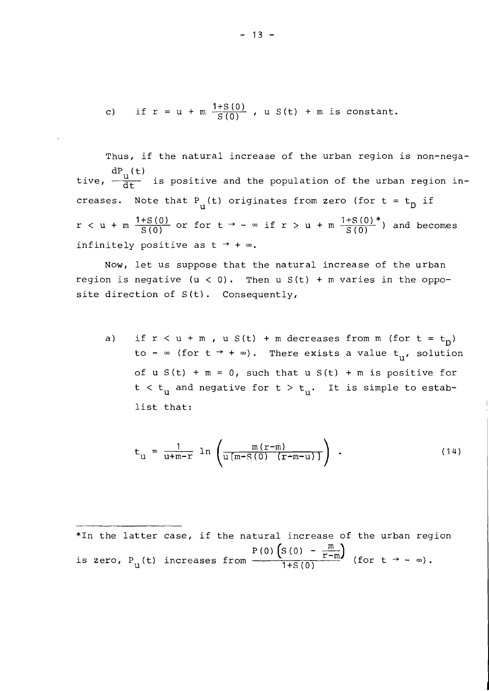c) if 
$$
r = u + m \frac{1+S(0)}{S(0)}
$$
,  $u S(t) + m$  is constant.

Thus, if the natural increase of the urban region is non-nega- $\texttt{dP}_{\pi}(\texttt{t})$ Thus, if the natural increase of the urban region is non-nega-<br>dP<sub>u</sub>(t)<br>tive,  $\frac{dP}{dt}$  is positive and the population of the urban region increases. Note that P<sub>u</sub>(t) originates from zero (for t =  $t_{D}$  if  $r < u + m \frac{1+S(0)}{S(0)}$  or for  $t \to -\infty$  if  $r > u + m \frac{1+S(0)^*}{S(0)}$  and becomes infinitely positive as  $t \rightarrow +\infty$ .

Now, let us suppose that the natural increase of the urban region is negative ( $u < 0$ ). Then  $u S(t) + m$  varies in the opposite direction of  $S(t)$ . Consequently,

a) if  $r < u + m$ ,  $u S(t) + m$  decreases from m (for  $t = t_D$ ) to -  $\infty$  (for t  $\rightarrow$  +  $\infty$ ). There exists a value t<sub>u</sub>, solution of  $u S(t) + m = 0$ , such that  $u S(t) + m$  is positive for  $t < t_u$  and negative for  $t > t_u$ . It is simple to establist that:

$$
t_{u} = \frac{1}{u + m - r} \ln \left( \frac{m (r - \hat{m})}{u [m - S(0) (r - m - u)]} \right) \quad . \tag{14}
$$

\*In the latter case, if the natural increase of the urban region is zero, P<sub>u</sub>(t) increases from  $\frac{P(0) (S(0) - \frac{m}{r-m})}{1+S(0)}$  (for  $t \to -\infty$ ).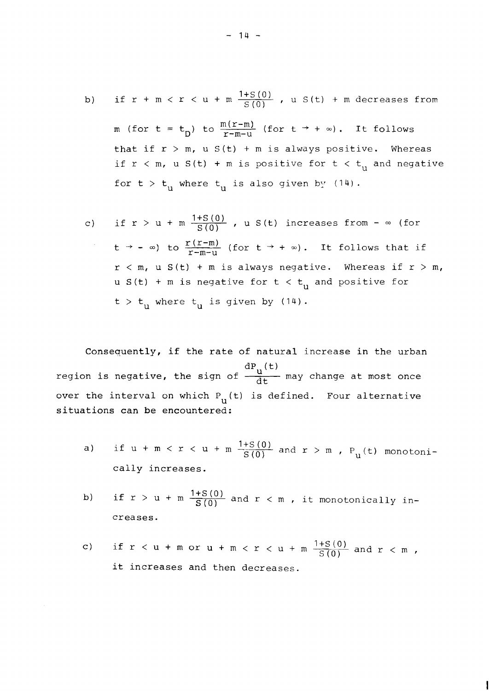b) if 
$$
r + m < r < u + m \frac{1 + S(0)}{S(0)}
$$
,  $u S(t) + m$  decreases from  $m$  (for  $t = t_D$ ) to  $\frac{m(r-m)}{r-m-u}$  (for  $t \to +\infty$ ). It follows that if  $r > m$ ,  $u S(t) + m$  is always positive. Whereas if  $r < m$ ,  $u S(t) + m$  is positive for  $t < t_u$  and negative for  $t > t_u$  where  $t_u$  is also given by (14).

c) if 
$$
r > u + m \frac{1+S(0)}{S(0)}
$$
, u S(t) increases from  $-\infty$  (for  $t \to -\infty$ ) to  $\frac{r(r-m)}{r-m-u}$  (for  $t \to +\infty$ ). It follows that if  $r < m$ , u S(t) + m is always negative. Whereas if  $r > m$ , u S(t) + m is negative for  $t < t_u$  and positive for  $t > t_u$  where  $t_u$  is given by (14).

Consequently, if the rate of natural increase in the urban  $\text{dP}_{\text{u}}(\texttt{t})$ region is negative, the sign of  $\frac{u}{dt}$  may change at most once over the interval on which  $P_{\bf u}({\bf t})$  is defined. Four alternative situations can be encountered:

- a) if  $u + m < r < u + m \frac{1+S(0)}{S(0)}$  and  $r > m$  , P<sub>u</sub>(t) monotoni- $\frac{1}{\sin(0)}$ cally increases.
- b) if  $r > u + m \frac{1+S(0)}{S(0)}$  and  $r < m$  , it monotonically in- $\frac{1}{5(0)}$ creases.
- c) if  $r < u + m$  or  $u + m < r < u + m \frac{1+S(0)}{S(0)}$  and  $r < m$  , it increases and then decreases.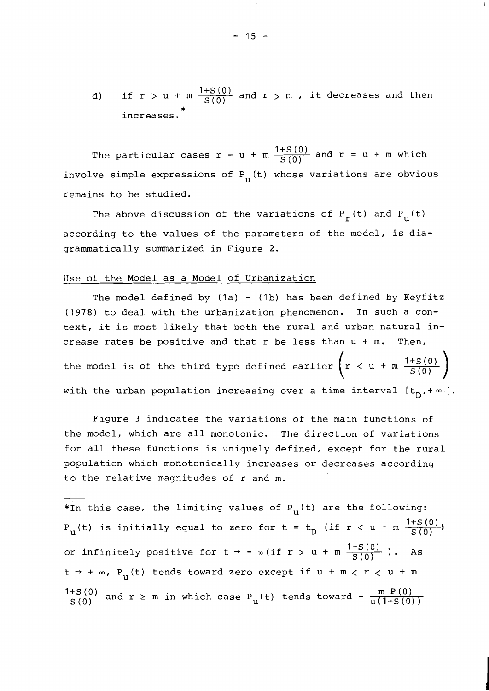d) if  $r > u + m \frac{1+S(0)}{S(0)}$  and  $r > m$  , it decreases and then  $\frac{m}{s(0)}$ increases.

The particular cases  $r = u + m \frac{1+S(0)}{S(0)}$  and  $r = u + m$  which involve simple expressions of  $P_{\bf u}({\bf t})$  whose variations are obvious remains to be studied.

The above discussion of the variations of  $P_r(t)$  and  $P_n(t)$ according to the values of the parameters of the model, is diagrammatically summarized in Figure 2.

## Use of the Model as a Model of Urbanization

The model defined by  $(1a) - (1b)$  has been defined by Keyfitz (1978) to deal with the urbanization phenomenon. In such a context, it is most likely that both the rural and urban natural increase rates be positive and that r be less than  $u + m$ . Then, the model is of the third type defined earlier  $\left\{ \text{r} \leq u + m \; \frac{1 + S(0)}{S(0)} \right\}$ with the urban population increasing over a time interval  $[t_D,+\infty[$ .

Figure **3** indicates the variations of the main functions of the model, which are all monotonic. The direction of variations for all these functions is uniquely defined, except for the rural population which monotonically increases or decreases according to the relative magnitudes of r and m.

\*In this case, the limiting values of  $P_{\text{U}}(t)$  are the following:  $P_{u}(t)$  is initially equal to zero for  $t = t_D$  (if  $r < u + m \frac{1+s(0)}{s(0)}$ ) or infinitely positive for  $t \to -\infty$  (if  $r > u + m \frac{1+S(0)}{S(0)}$  ). As t + + **03,** P (t) tends toward zero except if u <sup>+</sup>m < r < u + <sup>m</sup> u  $\frac{1+ S(0)}{S(0)}$  and  $r \ge m$  in which case P<sub>u</sub>(t) tends toward -  $\frac{m P(0)}{u(1+S(0))}$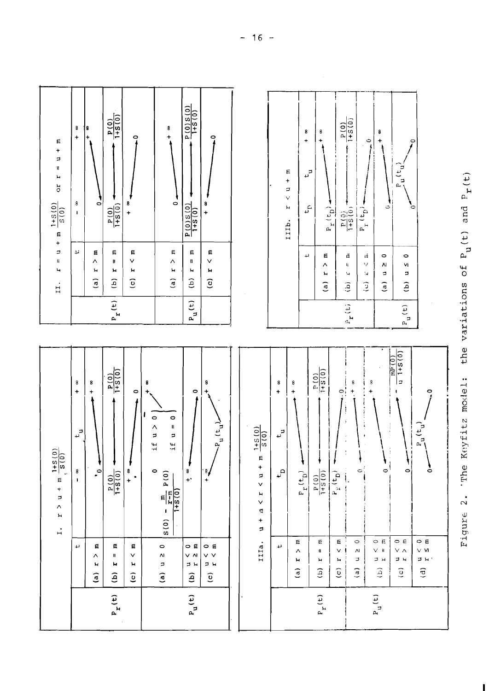

Figure 2. The Keyfitz model: the variations of  $P_u(t)$  and  $P_T(t)$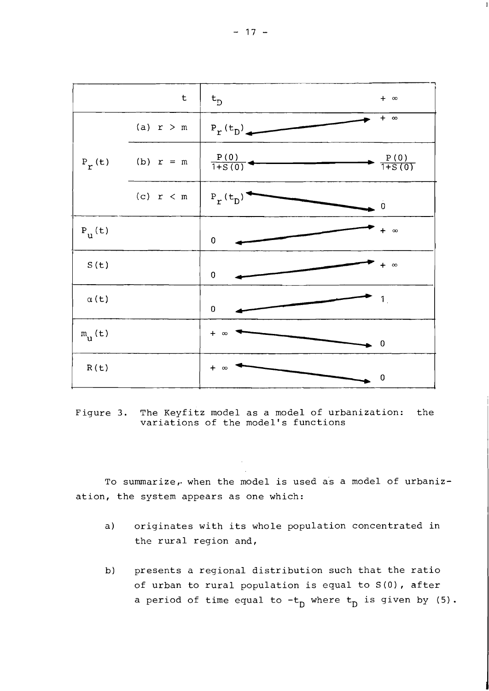$-17 -$ 



Figure 3. The Keyfitz model as a model of urbanization: the variations of the model's functions

To summarize, when the model is used as a model of urbanization, the system appears as one which:

- a) originates with its whole population concentrated in the rural region and,
- b) presents a regional distribution such that the ratio of urban to rural population is equal to S(O), after a period of time equal to  $-t_D$  where  $t_D$  is given by (5).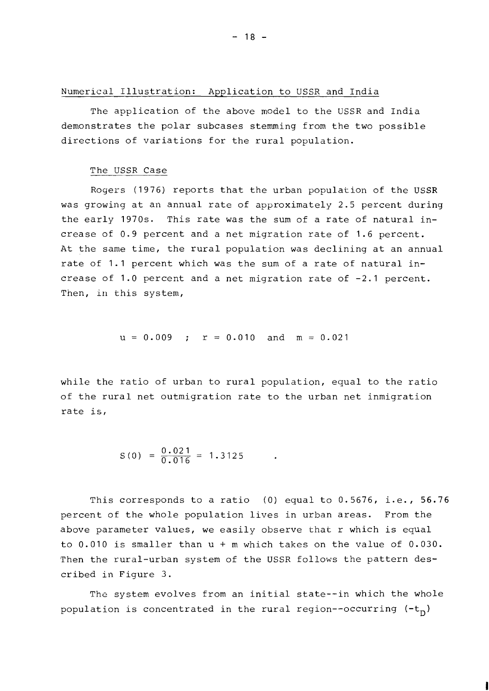The application of the above model to the USSR and India demonstrates the polar subcases stemming from the two possible directions of variations for the rural population.

#### The USSR Case

Rogers (1976) reports that the urban population of the USSR was growing at an annual rate of approximately 2.5 percent during the early 1970s. This rate was the sum of a rate of natural increase of 0.9 percent and a net migration rate of 1.6 percent. At the same time, the rural population was declining at an annual rate of 1.1 percent which was the sum of a rate of natural increase of 1.0 percent and a net migration rate of -2.1 percent. Then, in this system,

 $u = 0.009$  ;  $r = 0.010$  and  $m = 0.021$ 

while the ratio of urban to rural population, equal to the ratio of the rural net outmigration rate to the urban net inmigration rate is,

$$
S(0) = \frac{0.021}{0.016} = 1.3125
$$

This corresponds to a ratio (0) equal to 0.5676, i.e., 56.76 percent of the whole population lives in urban areas. From the above parameter values, we easily observe that r which is equal to 0.010 is smaller than u + m which takes on the value of 0.030. Then the rural-urban system of the USSR follows the pattern described in Figure **3.** 

 $\sim$   $\sim$ 

The system evolves from an initial state--in which the whole population is concentrated in the rural region--occurring  $(-t_n)$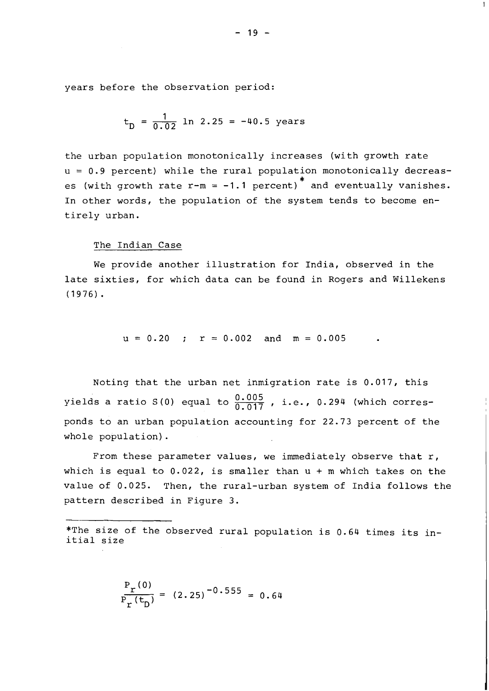years before the observation period:

$$
t_D = \frac{1}{0.02}
$$
 ln 2.25 = -40.5 years

the urban population monotonically increases (with growth rate  $u = 0.9$  percent) while the rural population monotonically decreases (with growth rate  $r-m = -1.1$  percent)<sup>\*</sup> and eventually vanishes. In other words, the population of the system tends to become entirely urban.

## The Indian Case

We provide another illustration for India, observed in the late sixties, for which data can be found in Rogers and Willekens (1976).

 $u = 0.20$  ;  $r = 0.002$  and  $m = 0.005$ 

Noting that the urban net inmigration rate is 0.017, this yields a ratio S(0) equal to  $\frac{0.005}{0.017}$ , i.e., 0.294 (which corresponds to an urban population accounting for 22.73 percent of the whole population).

From these parameter values, we immediately observe that r, which is equal to  $0.022$ , is smaller than  $u + m$  which takes on the value of 0.025. Then, the rural-urban system of India follows the pattern described in Figure 3.

\*The size of the observed rural population is 0.64 times its initial size

$$
\frac{P_r(0)}{P_r(t_0)} = (2.25)^{-0.555} = 0.64
$$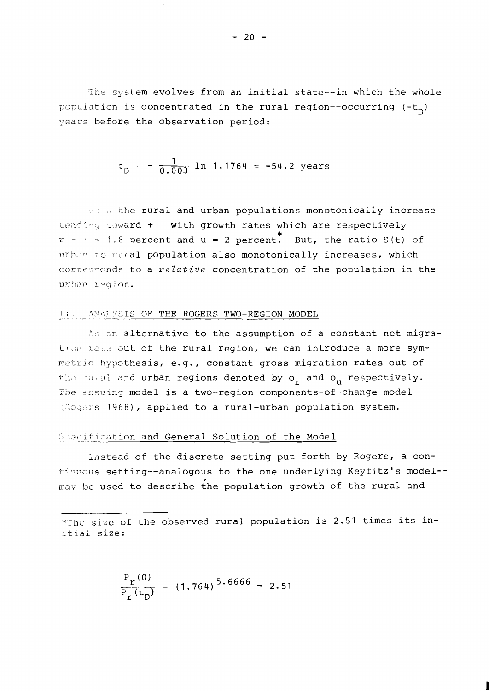The system evolves from an initial state--in which the whole population is concentrated in the rural region--occurring  $(-t_n)$ years before the observation period:

$$
t_D = -\frac{1}{0.003}
$$
 ln 1.1764 = -54.2 years

that the rural and urban populations monotonically increase tending coward + with growth rates which are respectively  $r - r = 1.8$  percent and  $u = 2$  percent. But, the ratio S(t) of urban to rural population also monotonically increases, which corresponds to a *relative* concentration of the population in the urban region.

### II. AMALYSIS OF THE ROGERS TWO-REGION MODEL

As an alternative to the assumption of a constant net migration rate out of the rural region, we can introduce a more symmetric hypothesis, e.g., constant gross migration rates out of the rural and urban regions denoted by  $o_r$  and  $o_u$  respectively. The ansuing model is a two-region components-of-change model (Rogers 1968), applied to a rural-urban population system.

### Scecification and General Solution of the Model

Instead of the discrete setting put forth by Rogers, a continuous setting--analogous to the one underlying Keyfitz's model-may be used to describe the population growth of the rural and

$$
\frac{P_r(0)}{P_r(t_0)} = (1.764)^{5.6666} = 2.51
$$

<sup>\*</sup>The size of the observed rural population is 2.51 times its initial size: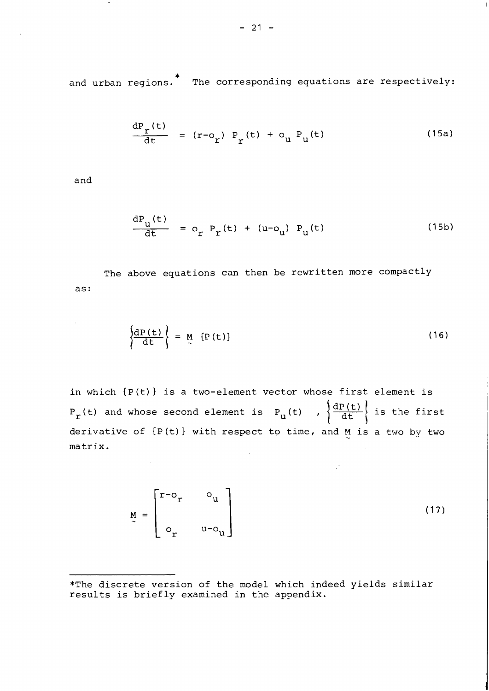\* and urban regions. The corresponding equations are respectively:

$$
\frac{dP_r(t)}{dt} = (r - o_r) P_r(t) + o_u P_u(t)
$$
 (15a)

and

$$
\frac{dP_u(t)}{dt} = o_r P_r(t) + (u-o_u) P_u(t)
$$
 (15b)

The above equations can then be rewritten more compactly as:

$$
\left\{\frac{dP(t)}{dt}\right\} = M \left\{P(t)\right\} \tag{16}
$$

in which {P(t) } is a two-element vector whose first element is  $P_r(t)$  and whose second element is  $P_u(t)$  ,  $\left\{\frac{dP(t)}{dt}\right\}$  is the first derivative of  ${P(t)}$  with respect to time, and M is a two by two matrix.

$$
\underline{\mathbf{M}} = \begin{bmatrix} \mathbf{r} - \mathbf{o}_{\mathbf{r}} & \mathbf{o}_{\mathbf{u}} \\ \mathbf{o}_{\mathbf{r}} & \mathbf{u} - \mathbf{o}_{\mathbf{u}} \end{bmatrix}
$$
 (17)

<sup>\*</sup>The discrete version of the model which indeed yields similar results is briefly examined in the appendix.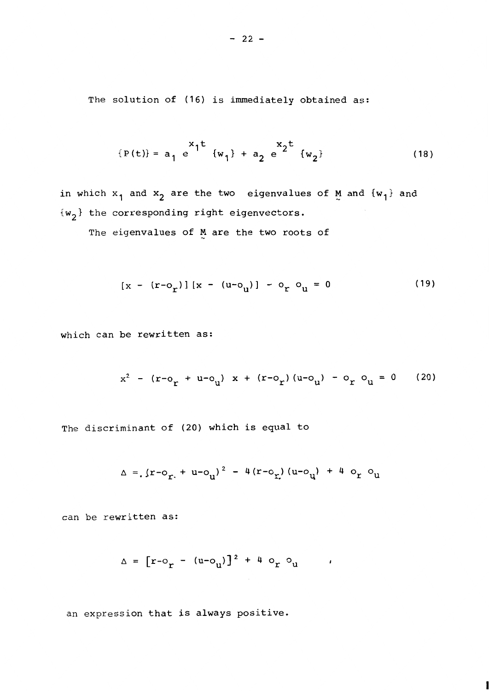The solution of (16) is immediately obtained as:

$$
\{P(t)\} = a_1 e^{x_1 t} \{w_1\} + a_2 e^{x_2 t} \{w_2\}
$$
 (18)

in which  $x_1$  and  $x_2$  are the two eigenvalues of M and  $\{w_1\}$  and  $\{w_{2}\}\)$  the corresponding right eigenvectors.

The eigenvalues of M are the two roots of

$$
[x - (r - o_r)] [x - (u - o_n)] - o_r o_n = 0
$$
 (19)

which can be rewritten as:

$$
x^{2} - (r - o_{r} + u - o_{u}) x + (r - o_{r}) (u - o_{u}) - o_{r} o_{u} = 0
$$
 (20)

 $\pmb{r}$ 

The discriminant of (20) which is equal to

$$
\Delta = (r - o_{r} + u - o_{u})^{2} - 4(r - o_{r}) (u - o_{u}) + 4 o_{r} o_{u}
$$

can be rewritten as:

$$
\Delta = [r - o_r - (u - o_u)]^2 + 4 o_r o_u
$$

an expression that is always positive.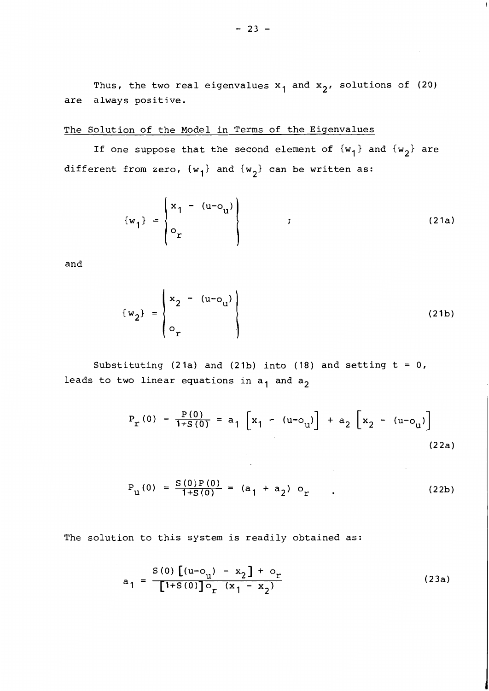# The Solution of the Model in Terms of the Eigenvalues

If one suppose that the second element of  $\{w_1\}$  and  $\{w_2\}$  are different from zero,  $\{w_1\}$  and  $\{w_2\}$  can be written as:

$$
\{w_1\} = \begin{cases} x_1 - (u - o_u) \\ o_r \end{cases}
$$
 (21a)

and

$$
\begin{cases} w_2 \end{cases} = \begin{cases} x_2 - (u - o_u) \\ o_r \end{cases}
$$
 (21b)

Substituting (21a) and (21b) into (18) and setting  $t = 0$ , leads to two linear equations in  $a_1$  and  $a_2$ 

$$
P_r(0) = \frac{P(0)}{1+S(0)} = a_1 \left[ x_1 - (u - o_u) \right] + a_2 \left[ x_2 - (u - o_u) \right]
$$
\n(22a)

$$
P_{u}(0) = \frac{S(0)P(0)}{1+S(0)} = (a_1 + a_2) o_r
$$
 (22b)

The solution to this system is readily obtained as:

$$
a_1 = \frac{S(0) \left[ (u - o_1) - x_2 \right] + o_r}{\left[ 1 + S(0) \right] o_r (x_1 - x_2)}
$$
(23a)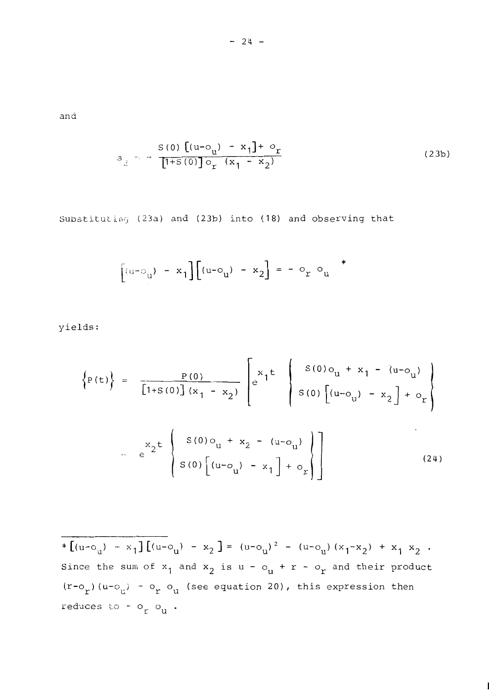$$
-24-
$$

and

yields:

$$
\left\{ P(t) \right\} = \frac{P(0)}{[1+S(0)] (x_1 - x_2)} \begin{bmatrix} x_1^t & S(0) o_u + x_1 - (u - o_u) \\ e^{-t} & S(0) \left[ (u - o_u) - x_2 \right] + o_r \\ \vdots \\ e^{-t} & e^{-t} \begin{bmatrix} S(0) o_u + x_2 - (u - o_u) \\ S(0) \left[ (u - o_u) - x_1 \right] + o_r \end{bmatrix} \end{bmatrix}
$$
 (24)

$$
*[(u-ou) - x1][(u-ou) - x2] = (u-ou)2 - (u-ou) (x1-x2) + x1 x2.
$$
  
Since the sum of x<sub>1</sub> and x<sub>2</sub> is u - o<sub>u</sub> + r - o<sub>r</sub> and their product  
(r-o<sub>r</sub>) (u-o<sub>u</sub>) - o<sub>r</sub> o<sub>u</sub> (see equation 20), this expression then  
reduces to - o<sub>r</sub> o<sub>u</sub>.

$$
\left[ (u - o_u) - x_1 \right] \left[ (u - o_u) - x_2 \right] = - o_r o_u
$$

$$
\mathcal{L}^{\mathcal{L}}(\mathcal{L}^{\mathcal{L}}(\mathcal{L}^{\mathcal{L}}))
$$

 $(23b)$ 

Substituting 
$$
(23a)
$$
 and  $(23b)$  into  $(18)$  and observing that

 $a_2 = -\frac{S(0) [(u-o_u) - x_1] + o_r}{[1+S(0)] o_r (x_1 - x_2)}$ 

$$
\left[ (u - o_u) - x_1 \right] \left[ (u - o_u) - x_2 \right] = - o_r o_u
$$

$$
\mathcal{L}^{\mathcal{L}}(\mathcal{L}^{\mathcal{L}}(\mathcal{L}^{\mathcal{L}}(\mathcal{L}^{\mathcal{L}}(\mathcal{L}^{\mathcal{L}}(\mathcal{L}^{\mathcal{L}}(\mathcal{L}^{\mathcal{L}}(\mathcal{L}^{\mathcal{L}}(\mathcal{L}^{\mathcal{L}}(\mathcal{L}^{\mathcal{L}}(\mathcal{L}^{\mathcal{L}}(\mathcal{L}^{\mathcal{L}}(\mathcal{L}^{\mathcal{L}}(\mathcal{L}^{\mathcal{L}}(\mathcal{L}^{\mathcal{L}}(\mathcal{L}^{\mathcal{L}}(\mathcal{L}^{\mathcal{L}}(\mathcal{L}^{\mathcal{L}}(\mathcal{L}^{\mathcal{L}}(\mathcal{L}^{\mathcal{L}}(\mathcal{L}^{\mathcal{L}}(\mathcal{L}^{\mathcal{L}}(\mathcal{L}^{\mathcal{L}}(\mathcal{L}^{\mathcal{L}}(\mathcal{L}^{\mathcal{L}}(\mathcal{L}^{\mathcal{L}}(\mathcal{L}^{\mathcal{L}}(\mathcal{L}^{\mathcal{L}}(\mathcal{L}^{\mathcal{L}}(\mathcal{L}^{\mathcal{L}}(\mathcal{L}^{\mathcal{L}}(\mathcal{L}^{\mathcal{L}}(\mathcal{L}^{\mathcal{L}}(\mathcal{L}^{\mathcal{L}}(\mathcal{L}^{\mathcal{L}}(\mathcal{L}^{\mathcal{L}}(\mathcal{L}^{\mathcal{L}}(\mathcal{L}^{\mathcal{L}}(\mathcal{L}^{\mathcal{L}}(\mathcal{L}^{\mathcal{L}}(\mathcal{L}^{\mathcal{L}}(\mathcal{L}^{\mathcal{L}}(\mathcal{L}^{\mathcal{L}}(\mathcal{L}^{\mathcal{L}}(\mathcal{L}^{\mathcal{L}}(\mathcal{L}^{\mathcal{L}}(\mathcal{L}^{\mathcal{L}}(\mathcal{L}^{\mathcal{L}}(\mathcal{L}^{\mathcal{L}}(\mathcal{L}^{\mathcal{L}}(\mathcal{L}^{\mathcal{L}}(\mathcal{L}^{\mathcal{L}}(\mathcal{L}^{\mathcal{L}}(\mathcal{L}^{\mathcal{L}}(\mathcal{L}^{\mathcal{L}}(\mathcal{L}^{\mathcal{L}}(\mathcal{L}^{\mathcal{L}}(\mathcal{L}^{\mathcal{L}}(\mathcal{L}
$$

$$
-24-
$$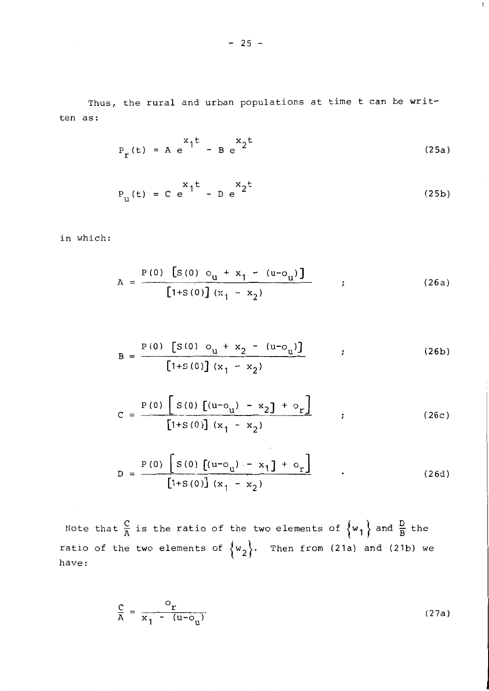Thus, the rural and urban populations at time t can be written as:

$$
P_r(t) = A e^{X_1 t} - B e^{X_2 t}
$$
 (25a)

 $\mathbf{I}$ 

$$
P_u(t) = C e^{x_1 t} - D e^{x_2 t}
$$
 (25b)

in which:

$$
A = \frac{P(0) [S(0) ou + x1 - (u-ou) ]}{[1+S(0)] (x1 - x2)}
$$
 (26a)

$$
B = \frac{P(0) [S(0) ou + x2 - (u-ou)]}{[1+S(0)] (x1 - x2)}
$$
 (26b)

$$
C = \frac{P(0) \left[ S(0) \left[ (u - o_u) - x_2 \right] + o_r \right]}{\left[ 1 + S(0) \right] (x_1 - x_2)},
$$
 (26c)

$$
D = \frac{P(0) \left[ S(0) \left[ (u - o_u) - x_1 \right] + o_r \right]}{\left[ 1 + S(0) \right] (x_1 - x_2)}
$$
 (26d)

Note that  $\frac{C}{A}$  is the ratio of the two elements of  $\{w_1\}$  and  $\frac{D}{B}$  the ratio of the two elements of  $\{w_2\}$ . Then from (21a) and (21b) we have:

$$
\frac{C}{A} = \frac{O_r}{x_1 - (u - o_u)}
$$
 (27a)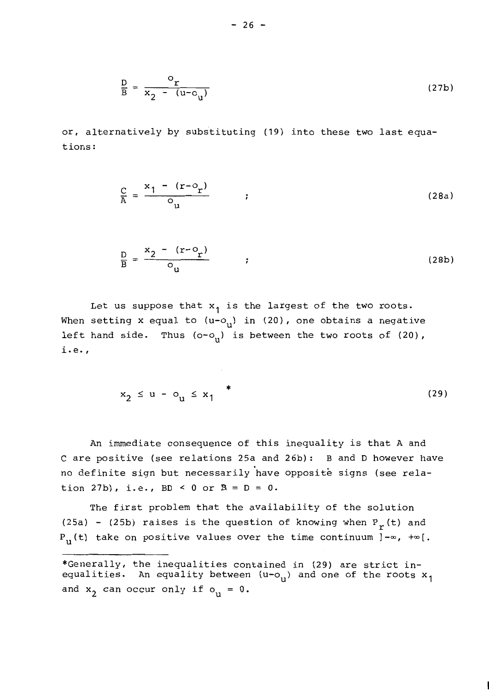$$
\frac{D}{B} = \frac{O_T}{x_2 - (u - o_H)}
$$
 (27b)

or, alternatively by substituting (19) into these two last equations:

$$
\frac{C}{A} = \frac{x_1 - (r - o_r)}{o_r} \qquad (28a)
$$

$$
\frac{D}{B} = \frac{x_2 - (r - o_r)}{o_0}
$$
 (28b)

Let us suppose that  $x_1$  is the largest of the two roots. When setting x equal to  $(u-o_{1})$  in (20), one obtains a negative left hand side. Thus  $(o-o_n)$  is between the two roots of (20), i.e.,

$$
x_2 \le u - o_u \le x_1
$$
 (29)

An immediate consequence of this inequality is that A and C are positive (see relations 25a and 26b): B and D however have no definite sign but necessarily have opposite signs (see relation 27b), i.e., BD < 0 or  $B = D = 0$ .

The first problem that the availability of the solution (25a) - (25b) raises is the question of knowing when  $P_r(t)$  and P<sub>1</sub>(t) take on positive values over the time continuum  $]-\infty$ ,  $+\infty[$ .

<sup>\*</sup>Generally, the inequalities contained in (29) are strict inequalities. An equality between ( $u-o_n$ ) and one of the roots  $x_1$ and  $x_2$  can occur only if  $o_{11} = 0$ .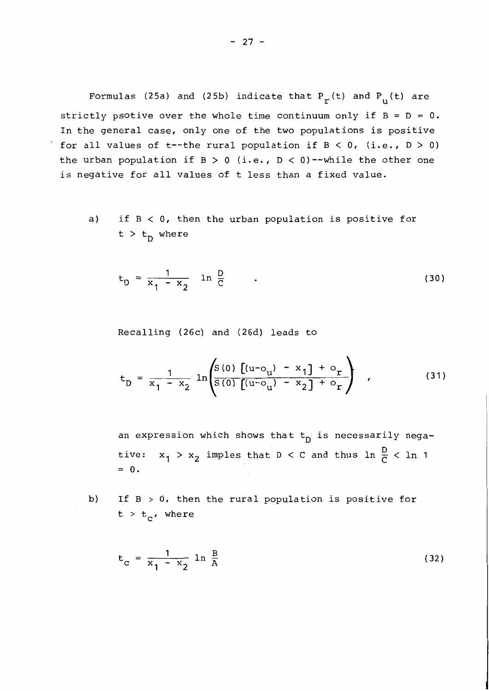Formulas (25a) and (25b) indicate that  $P_r(t)$  and  $P_n(t)$  are strictly psotive over the whole time continuum only if  $B = D = 0$ . In the general case, only one of the two populations is positive for all values of t--the rural population if  $B < 0$ , (i.e.,  $D > 0$ ) the urban population if  $B > 0$  (i.e.,  $D < 0$ ) --while the other one is negative for all values of t less than a fixed value.

if  $B < 0$ , then the urban population is positive for  $a)$  $t > t_n$  where

$$
t_{D} = \frac{1}{x_{1} - x_{2}} \ln \frac{D}{C} \tag{30}
$$

Recalling (26c) and (26d) leads to

$$
t_{D} = \frac{1}{x_{1} - x_{2}} \ln \left( \frac{S(0) \left[ (u - o_{u}) - x_{1} \right] + o_{r}}{S(0) \left[ (u - o_{u}) - x_{2} \right] + o_{r}} \right) \tag{31}
$$

an expression which shows that  $t_{\text{D}}$  is necessarily negative:  $x_1 > x_2$  imples that  $D < C$  and thus  $\ln \frac{D}{C} < \ln 1$  $= 0.$ 

If  $B > 0$ , then the rural population is positive for  $b)$  $t > t_c$ , where

$$
t_c = \frac{1}{x_1 - x_2} \ln \frac{B}{A}
$$
 (32)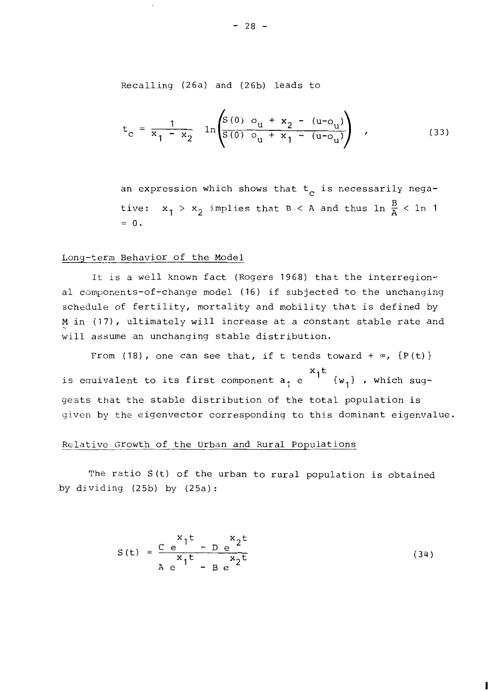Recalling (26a) and (26b) leads to

$$
t_c = \frac{1}{x_1 - x_2} \ln \left( \frac{s(0) o_u + x_2 - (u - o_u)}{s(0) o_u + x_1 - (u - o_u)} \right),
$$
 (33)

an expression which shows that  $t_c$  is necessarily negative:  $x_1 > x_2$  implies that B < A and thus ln  $\frac{B}{A}$  < 1n 1  $= 0.$ 

#### Long-term Behavior of the Model

It is a well known fact (Rogers 1968) that the interregional components-of-change model (16) if subjected to the unchanging schedule of fertility, mortality and mobility that is defined by M in (17), ultimately will increase at a constant stable rate and will assume an unchanging stable distribution.

From (18), one can see that, if t tends toward +  $\infty$ , {P(t)} is equivalent to its first component  $a_1 e^{x_1 t}$  ( $w_1$ ), which suggests that the stable distribution of the total population is given by the eigenvector corresponding to this dominant eigenvalue.

#### Relative Growth of the Urban and Rural Populations

The ratio S(t) of the urban to rural population is obtained by dividing (25b) by (25a):

$$
S(t) = \frac{C e^{x_1 t} - D e^{x_2 t}}{A e^{x_1 t} - B e^{x_2 t}}
$$
 (34)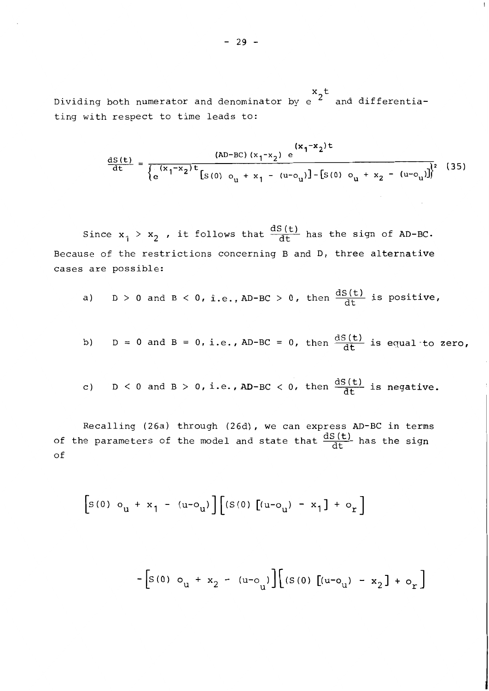Dividing both numerator and denominator by  $e^{x}$ <sup>t</sup> and differentiating with respect to time leads to:

$$
\frac{dS(t)}{dt} = \frac{(AD-BC)(x_1-x_2)e^{-\frac{(x_1-x_2)t}{(x_1-x_2)t}}}{\left\{e^{-\frac{(x_1-x_2)t}{(x_1-x_2)t}[S(0) - O_u + x_1 - (u-o_u)] - [S(0) - O_u + x_2 - (u-o_u)]\right\}^2}
$$
(35)

Since  $x_1 > x_2$ , it follows that  $\frac{dS(t)}{dt}$  has the sign of AD-BC. Because of the restrictions concerning B and D, three alternative cases are possible:

 $D > 0$  and  $B < 0$ , i.e., AD-BC > 0, then  $\frac{dS(t)}{dt}$  is positive,  $a)$ 

 $D = 0$  and  $B = 0$ , i.e., AD-BC = 0, then  $\frac{dS(t)}{dt}$  is equal to zero, b)

c)  $D < 0$  and  $B > 0$ , i.e., AD-BC < 0, then  $\frac{dS(t)}{dt}$  is negative.

Recalling (26a) through (26d), we can express AD-BC in terms of the parameters of the model and state that  $\frac{dS(t)}{dt}$  has the sign of

$$
\[s(0) \quad o_{u} + x_{1} - (u - o_{u})\] \left[ (s(0) \left[ (u - o_{u}) - x_{1} \right] + o_{r} \right]\]
$$

$$
-\left[s(0) \quad o_{u} + x_{2} - (u - o_{u})\right] \left[ (s(0) \left[ (u - o_{u}) - x_{2} \right] + o_{r} \right]
$$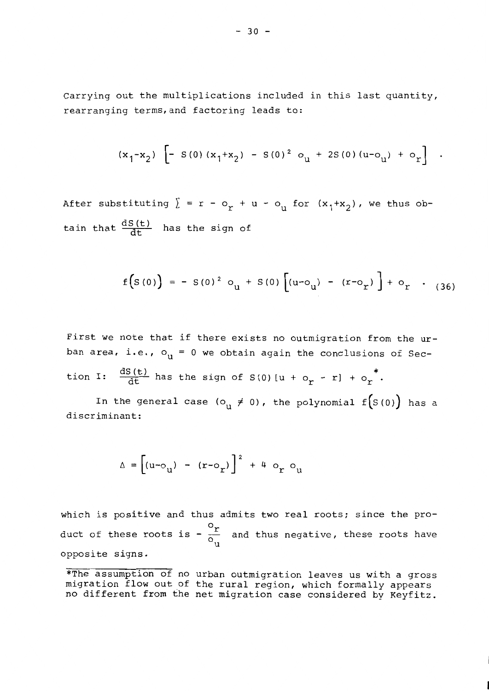Carrying out the multiplications included in this last quantity, rearranging terms, and factoring leads to:

$$
(x_1-x_2)
$$
 [- S(0)  $(x_1+x_2)$  - S(0)<sup>2</sup> o<sub>u</sub> + 2S(0)  $(u-o_u)$  + o<sub>r</sub>

After substituting  $\sum = r - o_r + u - o_{11}$  for  $(x_1+x_2)$ , we thus obtain that  $\frac{dS(t)}{dt}$  has the sign of

$$
f(s(0)) = - s(0)^{2} o_{u} + s(0) \left[ (u - o_{u}) - (r - o_{r}) \right] + o_{r} \quad (36)
$$

First we note that if there exists no outmigration from the urban area, i.e.,  $o_{11} = 0$  we obtain again the conclusions of Section I:  $\frac{dS(t)}{dt}$  has the sign of S(0)[u + o<sub>r</sub> - r] + o<sub>r</sub><sup>\*</sup>.

In the general case (o<sub>u</sub>  $\neq$  0), the polynomial f(S(0)) has a discriminant:

$$
\Delta = \left[ \left( u - o_{u} \right) - \left( r - o_{r} \right) \right]^{2} + 4 o_{r} o_{u}
$$

which is positive and thus admits two real roots; since the product of these roots is  $-\frac{0_r}{0}$  and thus negative, these roots have opposite signs.

<sup>\*</sup>The assumption of no urban outmigration leaves us with a gross migration flow out of the rural region, which formally appears no different from the net migration case considered by Keyfitz.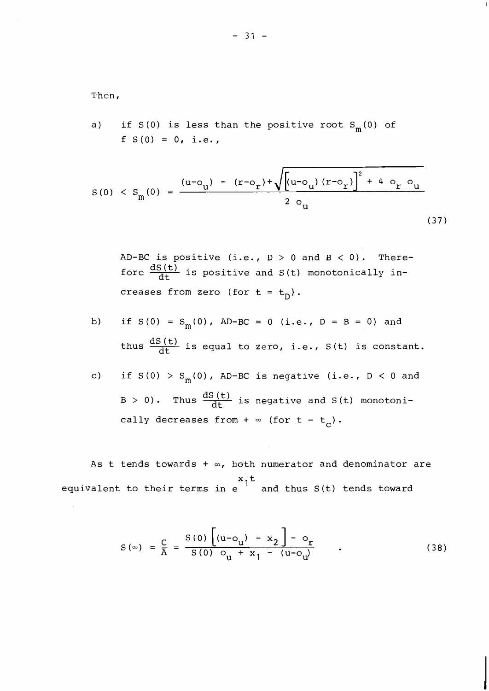Then,

if  $S(0)$  is less than the positive root  $S_m(0)$  of  $a)$ f  $S(0) = 0$ , i.e.,

$$
S(0) < S_{\rm m}(0) = \frac{(u - o_{\rm u}) - (r - o_{\rm r}) + \sqrt{\left[(u - o_{\rm u})(r - o_{\rm r})\right]^2 + 4 o_{\rm r} o_{\rm u}}}{2 o_{\rm u}} \tag{37}
$$

AD-BC is positive (i.e.,  $D > 0$  and  $B < 0$ ). Therefore  $\frac{dS(t)}{dt}$  is positive and  $S(t)$  monotonically increases from zero (for  $t = t_n$ ).

- if  $S(0) = S_m(0)$ , AD-BC = 0 (i.e., D = B = 0) and b) thus  $\frac{dS(t)}{dt}$  is equal to zero, i.e.,  $S(t)$  is constant.
- if  $S(0) > S_m(0)$ , AD-BC is negative (i.e., D < 0 and  $\mathbf{c}$ ) B > 0). Thus  $\frac{dS(t)}{dt}$  is negative and S(t) monotonically decreases from +  $\infty$  (for t = t<sub>c</sub>).

As t tends towards +  $\infty$ , both numerator and denominator are equivalent to their terms in  $e^{x}1$  and thus  $S(t)$  tends toward

$$
S(\infty) = \frac{C}{A} = \frac{S(0) \left[ (u - o_u) - x_2 \right] - o_r}{S(0) o_u + x_1 - (u - o_u)} \tag{38}
$$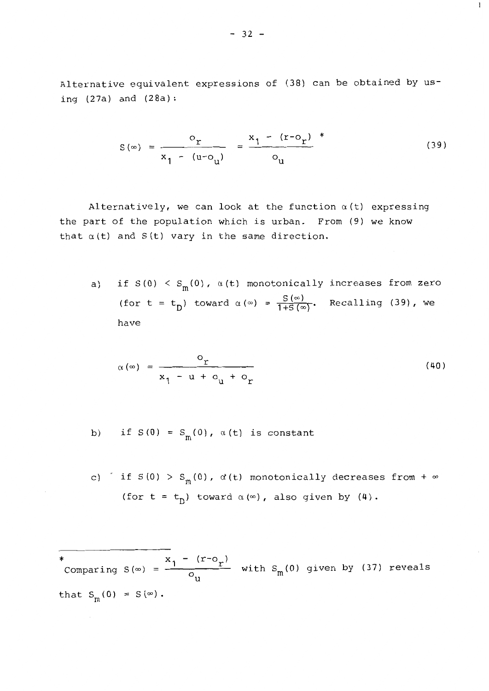Alternative equivalent expressions of (38) can be obtained by using  $(27a)$  and  $(28a)$ :

$$
S(\infty) = \frac{0_r}{x_1 - (u - o_u)} = \frac{x_1 - (r - o_r)}{o_u} \tag{39}
$$

 $\mathbf{I}$ 

Alternatively, we can look at the function  $\alpha(t)$  expressing the part of the population which is urban. From (9) we know that  $\alpha(t)$  and  $S(t)$  vary in the same direction.

a) if  $S(0) < S_m(0)$ ,  $\alpha(t)$  monotonically increases from zero (for  $t = t_D$ ) toward  $\alpha(\infty) = \frac{S(\infty)}{1+S(\infty)}$ . Recalling (39), we have

$$
\alpha(\infty) = \frac{\circ_r}{x_1 - u + o_u + o_r} \tag{40}
$$

b) if  $S(0) = S_m(0)$ ,  $\alpha(t)$  is constant

c) if  $S(0) > S_m(0)$ ,  $\alpha(t)$  monotonically decreases from  $+ \infty$ (for  $t = t_n$ ) toward  $\alpha(\infty)$ , also given by (4).

\* Comparing  $S(\infty) = \frac{x_1 - (r - o_r)}{o_n}$  with  $S_m(0)$  given by (37) reveals that  $S_m(0) = S(\infty)$ .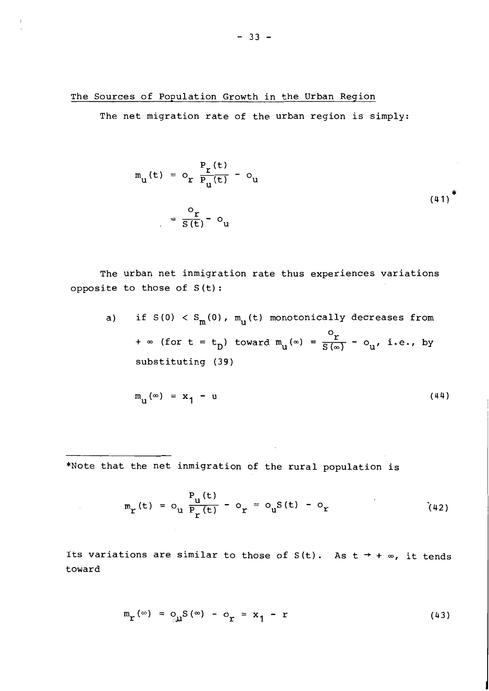The Sources of Population Growth in the Urban Region

The net migration rate of the urban region is simply:

$$
m_{u}(t) = o_{r} \frac{P_{r}(t)}{P_{u}(t)} - o_{u}
$$
  

$$
= \frac{o_{r}}{S(t)} - o_{u}
$$
 (41)

The urban net inmigration rate thus experiences variations opposite to those of S(t):

a) if  $S(0) < S_m(0)$ ,  $m_{ij}(t)$  monotonically decreases from +  $\infty$  (for t = t<sub>D</sub>) toward  $m_u(\infty) = \frac{0}{S(\infty)} - 0_u$ , i.e., by substituting (39)

$$
m_{11}(\infty) = x_1 - u \tag{44}
$$

\*Note that the net inmigration of the rural population is

$$
m_r(t) = o_u \frac{P_u(t)}{P_r(t)} - o_r = o_u S(t) - o_r \qquad (42)
$$

Its variations are similar to those of  $S(t)$ . As  $t \rightarrow +\infty$ , it tends toward

$$
m_{r}(\infty) = \underset{\sim}{\circ} S(\infty) - \circ_{r} = x_{1} - r \tag{43}
$$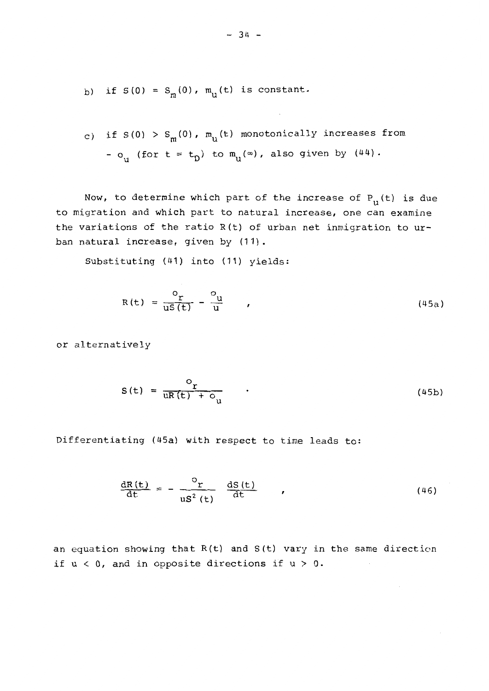c) if  $S(0) > S_m(0)$ ,  $m_u(t)$  monotonically increases from -  $o_{11}$  (for  $t = t_D$ ) to  $m_{11}(\infty)$ , also given by (44).

Now, to determine which part of the increase of  $P_{11}(t)$  is due to migration and which part to natural increase, one can examine the variations of the ratio R(t) of urban net inmigration to urban natural increase, given by (11).

Substituting (41) into (11) yields:

$$
R(t) = \frac{O_r}{uS(t)} - \frac{O_u}{u}, \qquad (45a)
$$

or alternatively

$$
S(t) = \frac{\sigma_r}{uR(t) + \sigma_u} \qquad (45b)
$$

Differentiating (45a) with respect to time leads to:

$$
\frac{dR(t)}{dt} = -\frac{0}{us^2(t)} \frac{dS(t)}{dt}, \qquad (46)
$$

an equation showing that R(t) and S(t) vary in the same direction if  $u < 0$ , and in opposite directions if  $u > 0$ .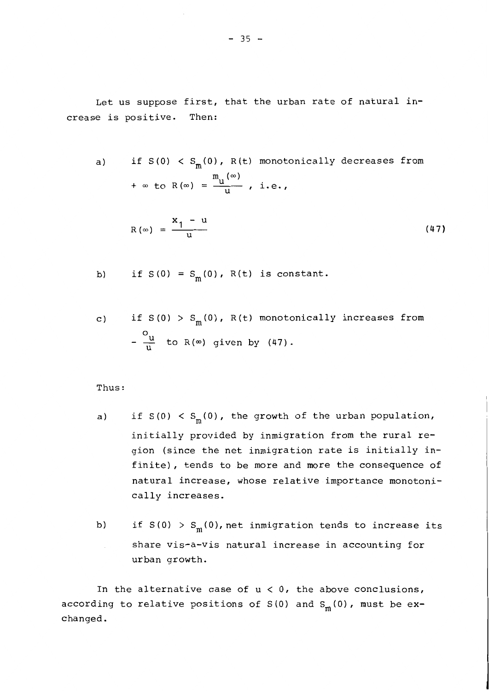Let us suppose first, that the urban rate of natural increase is positive. Then:

if  $S(0) < S_m(0)$ ,  $R(t)$  monotonically decreases from  $a)$ +  $\infty$  to R( $\infty$ ) =  $\frac{m_u(\infty)}{11}$ , i.e.,

$$
R(\infty) = \frac{x_1 - u}{u}
$$
 (47)

b) if 
$$
S(0) = S_m(0)
$$
,  $R(t)$  is constant.

c) if  $S(0) > S_m(0)$ ,  $R(t)$  monotonically increases from  $-\frac{0}{11}$  to R( $\infty$ ) given by (47).

#### Thus:

- if  $S(0) < S_m(0)$ , the growth of the urban population,  $\alpha$ ) initially provided by inmigration from the rural region (since the net inmigration rate is initially infinite), tends to be more and more the consequence of natural increase, whose relative importance monotonically increases.
- if  $S(0) > S_m(0)$ , net inmigration tends to increase its b) share vis-a-vis natural increase in accounting for urban growth.

In the alternative case of  $u < 0$ , the above conclusions, according to relative positions of  $S(0)$  and  $S_m(0)$ , must be exchanged.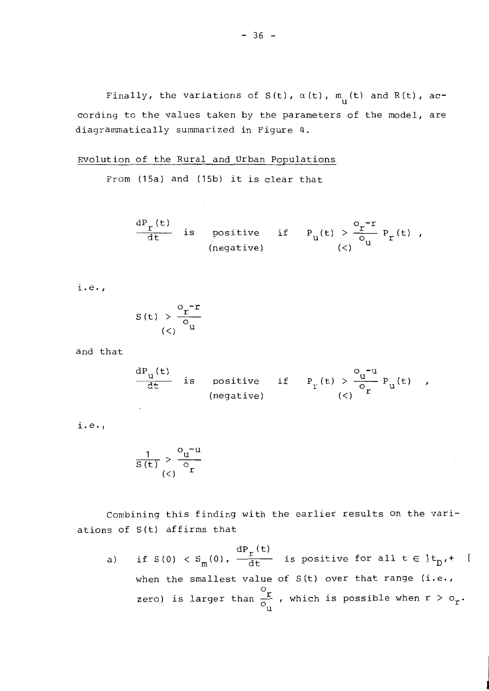Finally, the variations of  $S(t)$ ,  $\alpha(t)$ ,  $m_{11}(t)$  and  $R(t)$ , according to the values taken by the parameters of the model, are diagrammatically summarized in Figure 4.

#### Evolution of the Rural and Urban Populations

From (15a) and (15b) it is clear that

$$
\frac{dP_r(t)}{dt} \text{ is positive if } P_u(t) > \frac{O_r^{-r}}{O_u} P_r(t) ,
$$
\n(negative) \n
$$
\begin{array}{ccc}\n\text{(negative)} & & & \\
\text{(c)} & & & \\
\end{array}
$$

i.e.,

$$
S(t) > \frac{^{\circ}r^{-r}}{^{\circ}u}
$$

and that

$$
\frac{dP_u(t)}{dt} \text{ is positive if } P_r(t) > \frac{O_u^{-u}}{O_r} P_u(t)
$$
\n(negative) \n(<)

,

 $i.e.,$ 

$$
\frac{1}{S(t)} > \frac{0}{0}e^{-u}
$$

Combining this finding with the earlier results on the variations of S(t) affirms that

if  $S(0) < S_m(0)$ ,  $\frac{dP_r(t)}{dt}$  is positive for all  $t \in ]t_D, + \$  [  $a)$ when the smallest value of S(t) over that range (i.e., zero) is larger than  $\frac{0_r}{0_n}$ , which is possible when  $r > o_r$ .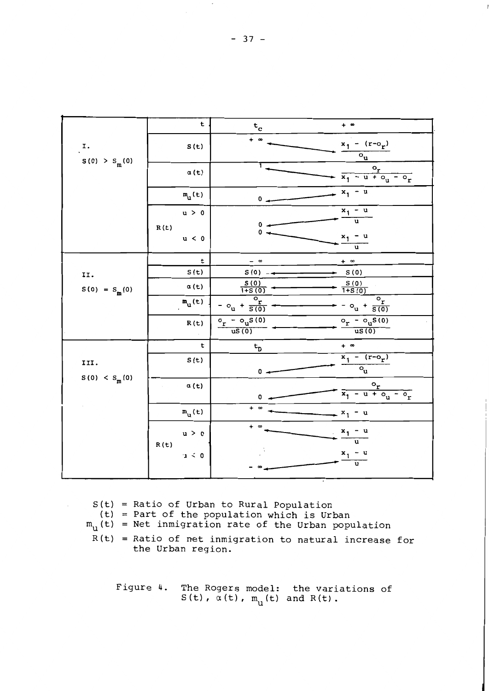|                   | t                              |                           |                                         |
|-------------------|--------------------------------|---------------------------|-----------------------------------------|
|                   |                                | $\mathbf{t_{c}}$          | $+$ $\infty$                            |
|                   |                                | $+$ $\infty$              | $x_1 - (r - o_r)$                       |
| Ι.                | S(t)                           |                           |                                         |
| $S(0) > S_{m}(0)$ |                                | 1                         | $\overline{\circ_{\underline{u}}}$      |
|                   | $\alpha(t)$                    |                           | $\frac{O_r}{-u+O_u-O_r}$                |
|                   |                                |                           | $\overline{x_1}$                        |
|                   | $m_{\rm u}(t)$                 | $\circ$ .                 | $x_1 - u$                               |
|                   |                                |                           |                                         |
|                   | u > 0                          |                           | $x_1 - u$<br>ū                          |
|                   | R(t)                           | 0                         |                                         |
|                   | u < 0                          | 0                         | $x_1$<br>- u                            |
|                   |                                |                           | u                                       |
|                   | $\mathbf t$                    | - ∞                       | $+ \circ$                               |
| II.               | S(t)                           | $S(0) -$                  | S(0)                                    |
|                   |                                |                           |                                         |
| $S(0) = S_m(0)$   | $\alpha(t)$                    | $\frac{S(0)}{1+S(0)}$     | $\frac{S(0)}{1+S(0)}$                   |
|                   | $m_{\rm u}$ (t)                | $o_u + \frac{o_r}{s(0)}$  | $\overline{o_{u} + \frac{o_{r}}{s(0)}}$ |
|                   | R(t)                           | $o_r - o_u(s(0))$         | $o_r - o_u(s(0))$                       |
|                   |                                | $\overline{uS(0)}$        | $\overline{uS(0)}$                      |
|                   | t                              | $\mathtt{t}_{\mathtt{D}}$ | $+ \circ$                               |
| III.              | S(t)                           |                           | $x_1 - (r - o_r)$                       |
|                   |                                | $\circ$ .                 | $\overline{\circ_{\mathbf{u}}}$         |
| $S(0) < S_m(0)$   | $\alpha(t)$                    |                           | $\circ_{\underline{r}}$                 |
|                   |                                |                           | $x_1 - u + o_u - o_r$                   |
|                   |                                | $\mathbf 0$<br>$+ \circ$  |                                         |
|                   | $m_u(t)$                       |                           | $x_1$<br>- u                            |
|                   |                                | $+ \circ$                 | $x_1$<br>- u                            |
|                   | u > 0                          |                           |                                         |
|                   | R(t)                           |                           |                                         |
|                   | $\mathbf{u} \times \mathbf{0}$ |                           | $x_1 - u$<br>ū                          |
|                   |                                |                           |                                         |

| $S(t)$ = Ratio of Urban to Rural Population<br>$(t)$ = Part of the population which is Urban<br>$m_{11}$ (t) = Net inmigration rate of the Urban population |                                                                                |  |  |  |  |  |  |
|-------------------------------------------------------------------------------------------------------------------------------------------------------------|--------------------------------------------------------------------------------|--|--|--|--|--|--|
|                                                                                                                                                             | $R(t)$ = Ratio of net inmigration to natural increase for<br>the Urban region. |  |  |  |  |  |  |

The Rogers model: the variations of  $S(t)$ ,  $\alpha(t)$ ,  $m_u(t)$  and  $R(t)$ . Figure 4.

 $\cdot$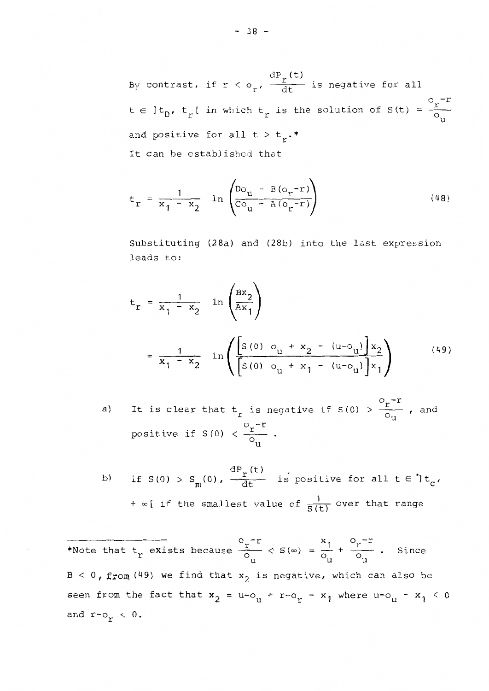By contrast, if  $r < o_r$ ,  $\frac{dP_r(t)}{dt}$  is negative for all  $t \in$   $t_p$ ,  $t_r$  in which  $t_r$  is the solution of  $S(t) = \frac{0 - r}{0}$ and positive for all  $t > t_r.*$ It can be established that

$$
t_r = \frac{1}{x_1 - x_2} \ln \left( \frac{Do_u - B(o_r - r)}{Co_u - A(o_r - r)} \right)
$$
 (48)

Substituting (28a) and (28b) into the last expression leads to:

$$
t_{r} = \frac{1}{x_{1} - x_{2}} \ln \left( \frac{Bx_{2}}{Ax_{1}} \right)
$$
  
=  $\frac{1}{x_{1} - x_{2}} \ln \left( \frac{\left[ S(0) - o_{u} + x_{2} - (u - o_{u}) \right]x_{2}}{\left[ S(0) - o_{u} + x_{1} - (u - o_{u}) \right]x_{1}} \right)$  (49)

It is clear that  $t_r$  is negative if  $S(0) > \frac{0_r - r}{0.5}$ , and  $a)$ positive if  $S(0) < \frac{0 - r}{0}$ .

b) if  $S(0) > S_m(0)$ ,  $\frac{dP_r(t)}{dt}$  is positive for all  $t \in ']\tau_c$ , +  $\infty$  [ if the smallest value of  $\frac{1}{S(t)}$  over that range

\*Note that  $t_r$  exists because  $\frac{0_r-r}{0_r} \leq S(\infty) = \frac{x_1}{0_r} + \frac{0_r-r}{0_r}$ . Since  $B < 0$ , from (49) we find that  $x<sub>2</sub>$  is negative, which can also be seen from the fact that  $x_2 = u - o_u + r - o_r - x_1$  where  $u - o_u - x_1 < 0$ and  $r-c_r < 0$ .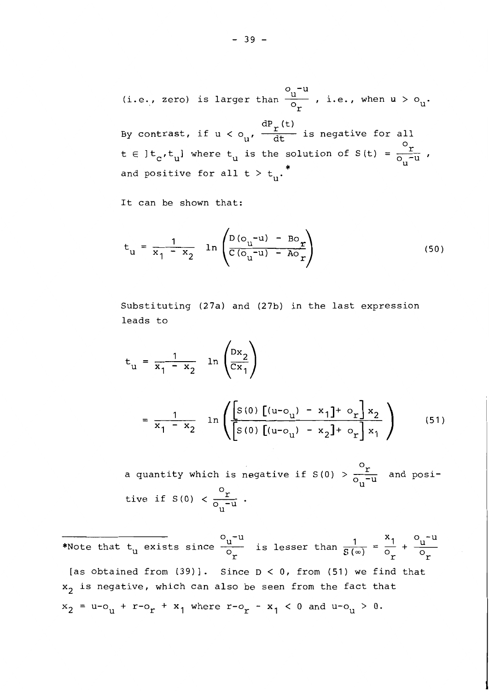(i.e., zero) is larger than  $\frac{0_i-u}{0_u}$  , i.e., when  $u > o_u$ . By contrast, if  $u < o_{u}$ ,  $\frac{dP_r(t)}{dt}$  is negative for all  $t \in$   $t_c, t_u$  where  $t_u$  is the solution of  $S(t) = \frac{0}{0.7}$ , and positive for all  $t > t_{n}$ .

It can be shown that:

$$
t_{u} = \frac{1}{x_{1} - x_{2}} \ln \left( \frac{D (o_{u} - u) - B o_{r}}{C (o_{u} - u) - A o_{r}} \right)
$$
(50)

Substituting (27a) and (27b) in the last expression leads to

$$
t_{u} = \frac{1}{x_{1} - x_{2}} \ln \left( \frac{Dx_{2}}{Cx_{1}} \right)
$$
  
=  $\frac{1}{x_{1} - x_{2}} \ln \left( \frac{[s(0) [(u - o_{u}) - x_{1}] + o_{r} ]x_{2}}{[s(0) [(u - o_{u}) - x_{2}] + o_{r} ]x_{1}} \right)$  (51)

a quantity which is negative if  $S(0) > \frac{0}{0.7}u$  and positive if  $S(0) < \frac{0}{0}$  .

\*Note that t<sub>u</sub> exists since  $\frac{0}{0}$  is lesser than  $\frac{1}{S(\infty)} = \frac{x_1}{0} + \frac{0}{0}$ [as obtained from  $(39)$ ]. Since  $D < 0$ , from  $(51)$  we find that  $x_2$  is negative, which can also be seen from the fact that  $x_2 = u - o_u + r - o_r + x_1$  where  $r - o_r - x_1 < 0$  and  $u - o_u > 0$ .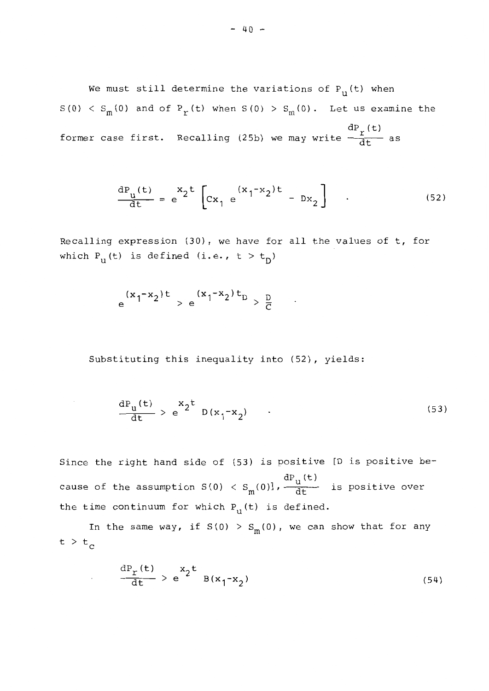We must still determine the variations of  $P_{11}(t)$  when  $S(0) < S_m(0)$  and of P<sub>r</sub>(t) when  $S(0) > S_m(0)$ . Let us examine the former case first. Recalling (25b) we may write  $\frac{dp_r(t)}{dt}$  as

$$
\frac{dP_{u}(t)}{dt} = e^{x_{2}t} \left[ cx_{1} e^{(x_{1} - x_{2})t} - bx_{2} \right]
$$
 (52)

Recalling expression (30), we have for all the values of t, for which  $P_{u}(t)$  is defined (i.e.,  $t > t_{n}$ )

$$
e^{(x_1-x_2)t} > e^{(x_1-x_2)t_D} > \frac{D}{C}
$$

Substituting this inequality into (52), yields:

$$
\frac{dP_u(t)}{dt} > e^{x_2 t} D(x_1 - x_2) \qquad (53)
$$

Since the right hand side of (53) is positive [D is positive because of the assumption  $S(0) < S_m(0)$ ],  $\frac{dP_u(t)}{dt}$  is positive over the time continuum for which  $P_{11}(t)$  is defined.

In the same way, if  $S(0) > S_m(0)$ , we can show that for any  $t > t_c$ 

$$
\frac{\mathrm{d}P_{r}(t)}{\mathrm{d}t} > e^{x_{2}t} B(x_{1}-x_{2})
$$
\n(54)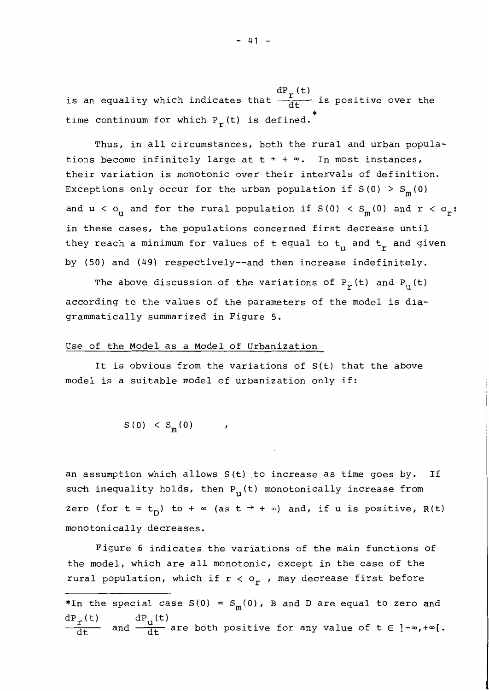is an equality which indicates that  $\frac{dP_r(t)}{dt}$  is positive over the time continuum for which  $P_r(t)$  is defined.

Thus, in all circumstances, both the rural and urban populations become infinitely large at  $t + + \infty$ . In most instances, their variation is monotonic over their intervals of definition. Exceptions only occur for the urban population if  $S(0) > S_m(0)$ and  $u < o_n$  and for the rural population if  $S(0) < S_m(0)$  and  $r < o_r$ : in these cases, the populations concerned first decrease until they reach a minimum for values of t equal to  $t_n$  and  $t_r$  and given by (50) and (49) respectively--and then increase indefinitely.

The above discussion of the variations of  $P_r(t)$  and  $P_n(t)$ according to the values of the parameters of the model is diagrammatically summarized in Figure 5.

## Use of the Model as a Model of Urbanization

It is obvious from the variations of S(t) that the above model is a suitable model of urbanization only if:

$$
S(0) < S_m(0) \qquad ,
$$

an assumption which allows S(t) to increase as time goes by. If such inequality holds, then  $P_{11}(t)$  monotonically increase from zero (for  $t = t_n$ ) to +  $\infty$  (as  $t \to +\infty$ ) and, if u is positive, R(t) monotonically decreases.

Figure 6 indicates the variations of the main functions of the model, which are all monotonic, except in the case of the rural population, which if  $r < o_r$ , may decrease first before \*In the special case  $S(0) = S_m(0)$ , B and D are equal to zero and  $\frac{dP_r(t)}{dt}$  and  $\frac{dP_u(t)}{dt}$  are both positive for any value of  $t \in ]-\infty, +\infty[$ .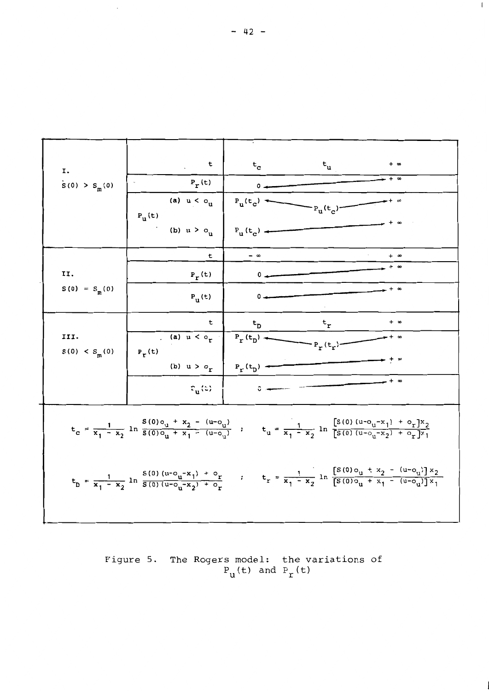$\mathbf t$  $t_{\rm u}$  $t_c$ I.  $P_r(t)$  $S(0) > S_{\text{m}}(0)$  $\mathbf 0$  . (a)  $u < o_u$  $P_u(t_c)$  $P_u(t_c)$ - $P_{u}(t)$ (b)  $u > o_u$  $P_u(t_c)$  +  $\mathbf t$  $-\infty$  $+ \circ$ II.  $\mathtt{P}_{\mathtt{r}}(\mathtt{t})$  $\circ$ .  $S(0) = S_m(0)$  $P_{u}(t)$  $0 \mathbf t$  $+ \circ$  $\mathbf{t}_{\texttt{D}}$  $t_r$  $\overline{P_r(t_0)}$ III. (a)  $u < o_r$  $P_r(t_r)$  $S(0) < S_m(0)$  $P_r(t)$  $P_r(t_0)$  + (b)  $u > o_r$  $\mathtt{r}_{\mathtt{u}}(z)$  $\ddot{\circ}$ .  $t_c = \frac{1}{x_1 - x_2} \ln \frac{s(0) \circ_0 + x_2 - (u - v_0)}{s(0) \circ_0 + x_1 - (u - v_0)}$  ;  $t_u = \frac{1}{x_1 - x_2} \ln \frac{[s(0) (u - v_0 - x_1) + v_r]x_2}{[s(0) (u - v_0 - x_2) + v_r]x_1}$  $t_{D} = \frac{1}{x_{1} - x_{2}} \ln \frac{s(0) (u - o_{u} - x_{1}) + o_{r}}{s(0) (u - o_{u} - x_{2}) + o_{r}}$  ;  $t_{r} = \frac{1}{x_{1} - x_{2}} \ln \frac{[s(0) o_{u} + x_{2} - (u - o_{u})] x_{2}}{[s(0) o_{u} + x_{1} - (u - o_{u})] x_{1}}$ 

> Figure 5. The Rogers model: the variations of  $P_{u}(t)$  and  $P_{r}(t)$

 $\mathfrak{t}^-$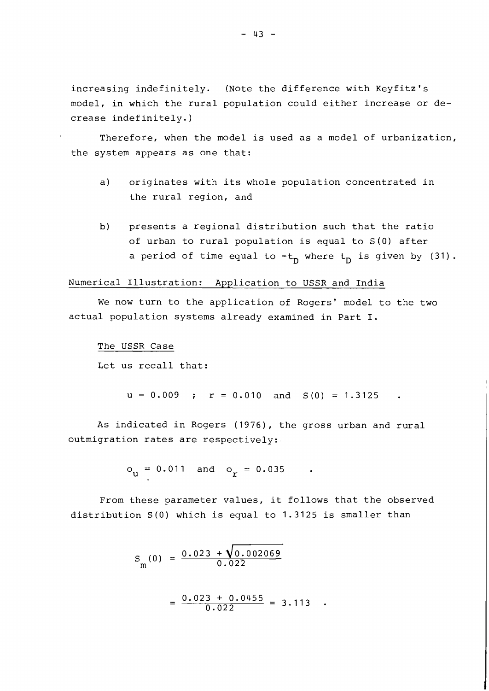increasing indefinitely. (Note the difference with Keyfitz's model, in which the rural population could either increase or decrease indefinitely.)

Therefore, when the model is used as a model of urbanization, the system appears as one that:

- $a)$ originates with its whole population concentrated in the rural region, and
- presents a regional distribution such that the ratio  $b)$ of urban to rural population is equal to S(0) after a period of time equal to  $-t_n$  where  $t_n$  is given by (31).

## Numerical Illustration: Application to USSR and India

We now turn to the application of Rogers' model to the two actual population systems already examined in Part I.

The USSR Case

Let us recall that:

 $u = 0.009$  ;  $r = 0.010$  and  $S(0) = 1.3125$ 

As indicated in Rogers (1976), the gross urban and rural outmigration rates are respectively:

$$
o_u = 0.011
$$
 and  $o_r = 0.035$ 

From these parameter values, it follows that the observed distribution S(0) which is equal to 1.3125 is smaller than

$$
S_{m} (0) = \frac{0.023 + \sqrt{0.002069}}{0.022}
$$

$$
=\frac{0.023 + 0.0455}{0.022} = 3.113.
$$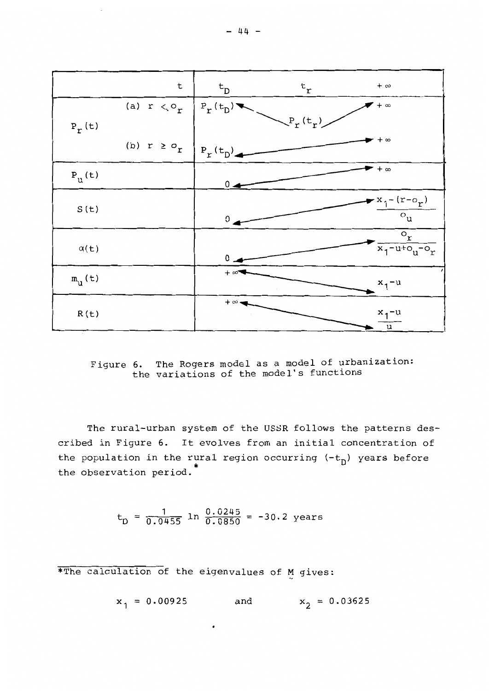

Figure 6. The Rogers model as a model of urbanization:<br>the variations of the model's functions

The rural-urban system of the USSR follows the patterns described in Figure 6. It evolves from an initial concentration of the population in the rural region occurring  $(-t_D)$  years before the observation period.<sup>\*</sup>

$$
t_D = \frac{1}{0.0455}
$$
 ln  $\frac{0.0245}{0.0850}$  = -30.2 years

 $\bullet$ 

\*The calculation of the eigenvalues of M gives:

$$
x_1 = 0.00925
$$
 and  $x_2 = 0.03625$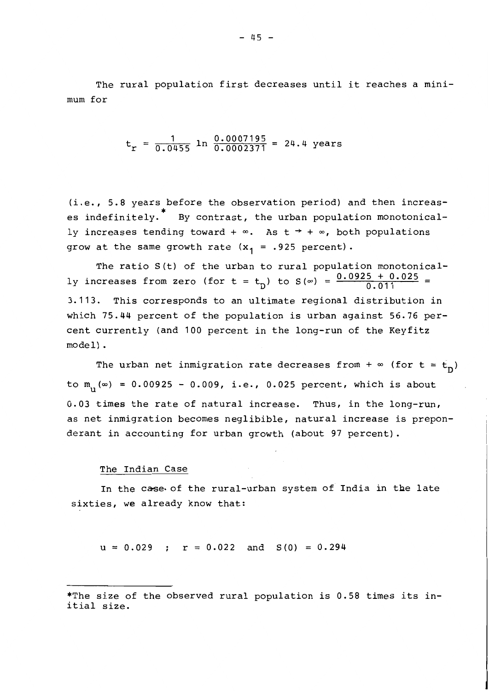The rural population first decreases until it reaches a minimum for

$$
t_r = \frac{1}{0.0455}
$$
 ln  $\frac{0.0007195}{0.0002371}$  = 24.4 years

(i.e., 5.8 years before the observation period) and then increases indefinitely.<sup>\*</sup> By contrast, the urban population monotonically increases tending toward +  $\infty$ . As t  $\rightarrow$  +  $\infty$ , both populations grow at the same growth rate  $(x_1 = .925$  percent).

The ratio S(t) of the urban to rural population monotonically increases from zero (for t = t<sub>n</sub>) to S( $\infty$ ) =  $\frac{0.0925 + 0.025}{0.033}$  = 3.113. This corresponds to an ultimate regional distribution in which 75.44 percent of the population is urban against 56.76 percent currently (and 100 percent in the long-run of the Keyfitz  $model$ .

The urban net inmigration rate decreases from +  $\infty$  (for t = t<sub>n</sub>) to  $m_{11}(\infty) = 0.00925 - 0.009$ , i.e., 0.025 percent, which is about 0.03 times the rate of natural increase. Thus, in the long-run, as net inmigration becomes neglibible, natural increase is preponderant in accounting for urban growth (about 97 percent).

#### The Indian Case

In the case of the rural-urban system of India in the late sixties, we already know that:

 $u = 0.029$  ;  $r = 0.022$  and  $S(0) = 0.294$ 

<sup>\*</sup>The size of the observed rural population is 0.58 times its initial size.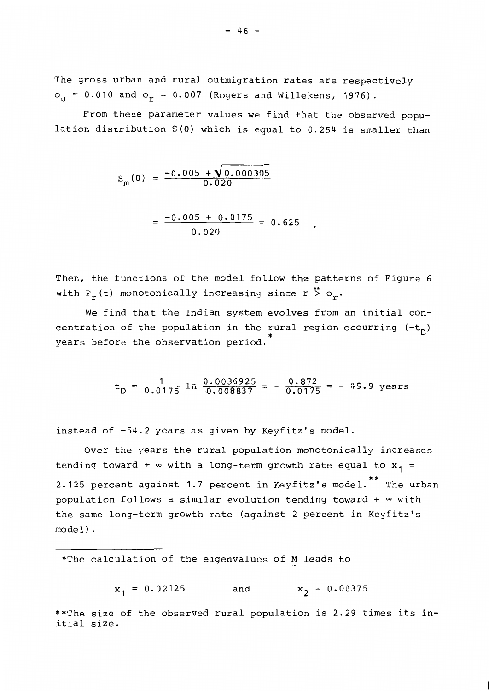The gross urban and rural outmigration rates are respectively  $o_{11} = 0.010$  and  $o_{r} = 0.007$  (Rogers and Willekens, 1976).

From these parameter values we find that the observed population distribution S(0) which is equal to 0.254 is smaller than

$$
S_{m}(0) = \frac{-0.005 + \sqrt{0.000305}}{0.020}
$$

$$
=\frac{-0.005 + 0.0175}{0.020} = 0.625
$$

Then, the functions of the model follow the patterns of Figure 6 with P<sub>r</sub>(t) monotonically increasing since r<sup>\*</sup> o<sub>r</sub>.

We find that the Indian system evolves from an initial concentration of the population in the rural region occurring  $(-t_n)$ years before the observation period.

$$
t_D = 1
$$
 0.0175  $\ln \frac{0.0036925}{0.008837} = -\frac{0.872}{0.0175} = -49.9$  years

instead of -54.2 years as given by Keyfitz's model.

Over the years the rural population monotonically increases tending toward +  $\infty$  with a long-term growth rate equal to  $x_1$  = 2.125 percent against 1.7 percent in Keyfitz's model. \*\* The urban population follows a similar evolution tending toward +  $\infty$  with the same long-term growth rate (against 2 percent in Keyfitz's  $mode1$ .

\*The calculation of the eigenvalues of M leads to

$$
x_1 = 0.02125
$$
 and  $x_2 = 0.00375$ 

\*\*The size of the observed rural population is 2.29 times its initial size.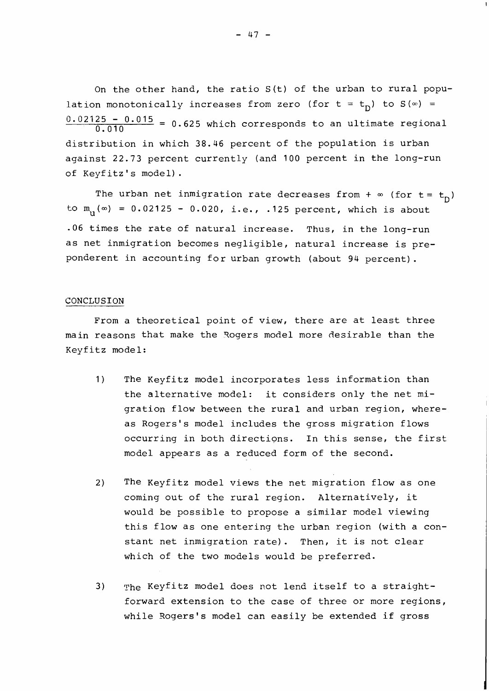On the other hand, the ratio S(t) of the urban to rural population monotonically increases from zero (for  $t = t_n$ ) to  $S(\infty) =$  $\frac{0.02125 - 0.015}{0.010}$  = 0.625 which corresponds to an ultimate regional distribution in which 38.46 percent of the population is urban against 22.73 percent currently (and 100 percent in the long-run of Keyfitz's model).

The urban net inmigration rate decreases from +  $\infty$  (for t = t<sub>n</sub>) to  $m_{11}(\infty) = 0.02125 - 0.020$ , i.e., .125 percent, which is about .06 times the rate of natural increase. Thus, in the long-run as net inmigration becomes negligible, natural increase is preponderent in accounting for urban growth (about 94 percent).

#### CONCLUSION

From a theoretical point of view, there are at least three main reasons that make the Rogers model more desirable than the Keyfitz model:

- $1)$ The Keyfitz model incorporates less information than the alternative model: it considers only the net migration flow between the rural and urban region, whereas Rogers's model includes the gross migration flows occurring in both directions. In this sense, the first model appears as a reduced form of the second.
- $2)$ The Keyfitz model views the net migration flow as one coming out of the rural region. Alternatively, it would be possible to propose a similar model viewing this flow as one entering the urban region (with a constant net inmigration rate). Then, it is not clear which of the two models would be preferred.
- $3)$ The Keyfitz model does not lend itself to a straightforward extension to the case of three or more regions, while Rogers's model can easily be extended if gross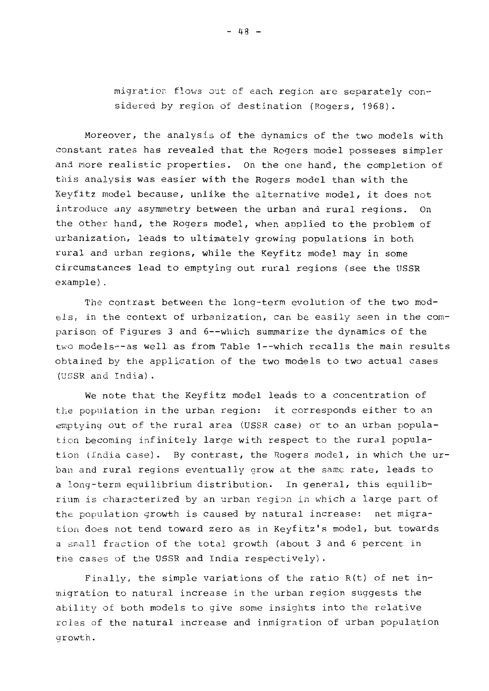migration flows out of each region are separately considered by region of destination (Rogers, 1968).

Moreover, the analysis of the dynamics of the two models with constant rates has revealed that the Rogers model posseses simpler and more realistic properties. On the one hand, the completion of this analysis was easier with the Rogers model than with the Keyfitz model because, unlike the alternative model, it does not introduce any asymmetry between the urban and rural regions. On the other hand, the Rogers model, when applied to the problem of urbanization, leads to ultimately growing populations in both rural and urban regions, while the Keyfitz model may in some circumstances lead to emptying out rural regions (see the USSR  $example$ ).

The contrast between the long-term evolution of the two models, in the context of urbanization, can be easily seen in the comparison of Figures 3 and 6--which summarize the dynamics of the two models--as well as from Table 1--which recalls the main results obtained by the application of the two models to two actual cases (USSR and India).

We note that the Keyfitz model leads to a concentration of the population in the urban region: it corresponds either to an emptying out of the rural area (USSR case) or to an urban population becoming infinitely large with respect to the rural population (India case). By contrast, the Rogers model, in which the urban and rural regions eventually grow at the same rate, leads to a long-term equilibrium distribution. In general, this equilibrium is characterized by an urban region in which a large part of the population growth is caused by natural increase: net migration does not tend toward zero as in Keyfitz's model, but towards a small fraction of the total growth (about 3 and 6 percent in the cases of the USSR and India respectively).

Finally, the simple variations of the ratio R(t) of net inmigration to natural increase in the urban region suggests the ability of both models to give some insights into the relative roles of the natural increase and inmigration of urban population growth.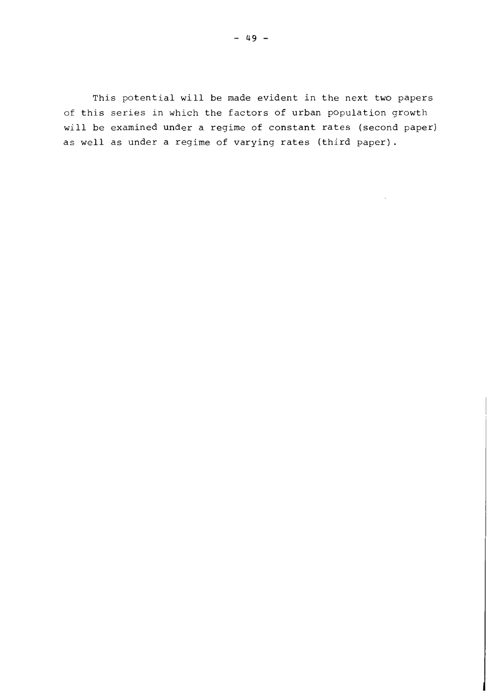This potential will be made evident in the next two papers of this series in which the factors of urban population growth will be examined under a regime of constant rates (second paper) as well as under a regime of varying rates (third paper).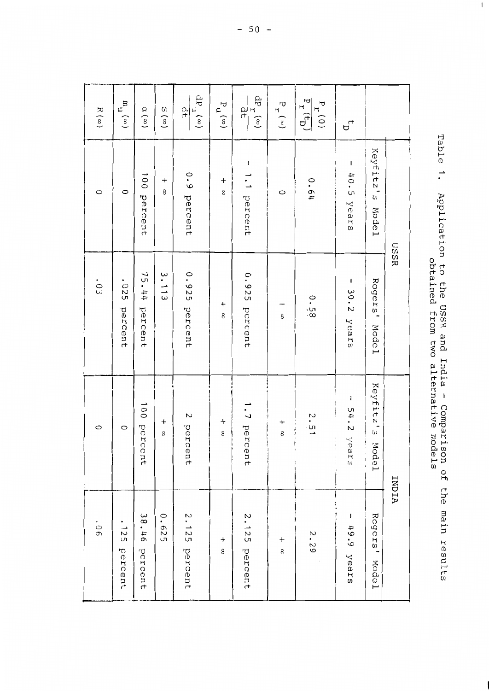| $R(\infty)$   | $\mathfrak{m}_{\mathsf{u}}^{(\infty)}$ | $\alpha$ ( $\infty$ ) | $S(\infty)$           | $\mathrm{dP}_{\mathrm{u}}\left(\infty\right)$<br>άt | $P_{\mathbf{u}}\left(\infty\right)$   | $\mathrm{dP}_{\mathrm{r}}\left(\infty\right)$<br>$\frac{a}{b}$ | $\mathbf{P}_{\mathbf{r}}\left(\infty\right)$ | $\overline{P}_\text{r}\left(t_\text{D}\right)$<br>$(0)^{\mathcal{I}}$ d | $\sigma^+$                       |                    |              |
|---------------|----------------------------------------|-----------------------|-----------------------|-----------------------------------------------------|---------------------------------------|----------------------------------------------------------------|----------------------------------------------|-------------------------------------------------------------------------|----------------------------------|--------------------|--------------|
| $\circ$       | $\circ$                                | 001<br>percent        | $+\frac{1}{8}$        | 0.9 percent                                         | $+\frac{1}{8}$                        | $\pmb{\ast}$<br>1.1 percent                                    | $\circ$                                      | 49.0                                                                    | $\pmb{\mathsf{I}}$<br>40.5 years | Keyfitz's Model    |              |
| 0.03          | $-0.25$<br>percent                     | 75.44<br>percent      | 3.113                 | 0.925<br>percent                                    | $^{+}$<br>8                           | 0.925 percent                                                  | $\begin{array}{c} + \\ 8 \end{array}$        | 6.58                                                                    | 1<br>30.2 years                  | Rogers' Model      | USSER        |
| O             | $\circ$                                | 100<br>percent        | $+$<br>$\overline{8}$ | $\sim$<br>percent                                   | $\begin{array}{c} + \\ 8 \end{array}$ | 1.7 percent                                                    | $+\frac{1}{8}$                               | 2.51                                                                    | $-54.2$ years                    | Keyfitz's<br>Model |              |
| $\frac{1}{9}$ | $\frac{1}{2}$<br>percent               | 38.46<br>percent      | 0.625                 | 2.125<br>percent                                    | $^{+}$<br>8                           | 2.125<br>percent                                               | $^{+}$<br>8                                  | 2.29                                                                    | I<br>49.9 years                  | Rogers'<br>Model   | <b>INDIA</b> |

Table 1. Application to the USSR and India - Comparison of the main results<br>obtained from two alternative models

 $\mathfrak{t}$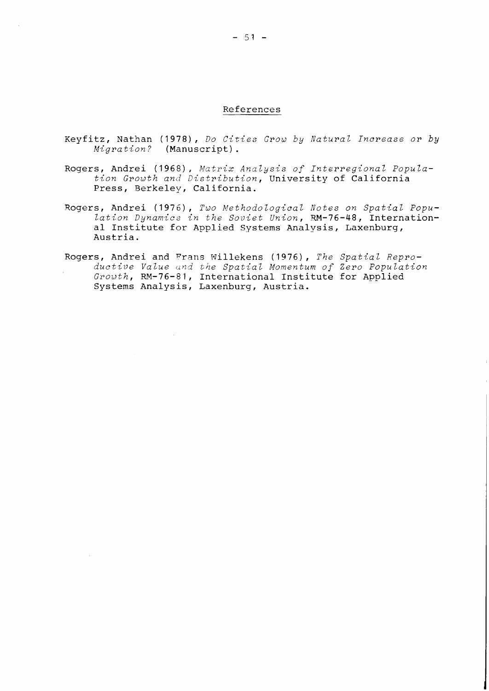#### References

- Keyfitz, Nathan (1978), Do Cities Grow by Natural Increase or by Migration? (Manuscript).
- Rogers, Andrei (1968), Matrix Analysis of Interregional Population Growth and Distribution, University of California Press, Berkeley, California.
- Rogers, Andrei (1976), Two Methodological Notes on Spatial Population Dynamics in the Soviet Union, RM-76-48, International Institute for Applied Systems Analysis, Laxenburg, Austria.
- Rogers, Andrei and Frans Willekens (1976), The Spatial Reproductive Value and the Spatial Momentum of Zero Population<br>Growth, RM-76-81, International Institute for Applied<br>Systems Analysis, Laxenburg, Austria.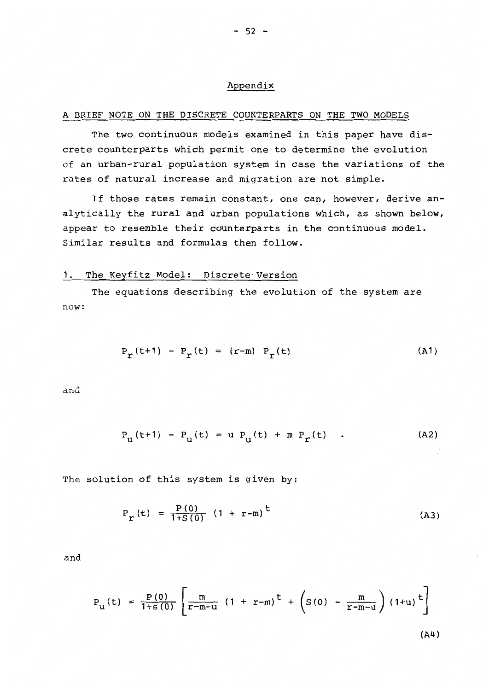## Appendix

### A BRIEF NOTE ON THE DISCRETE COUNTERPARTS ON THE TWO MODELS

The two continuous models examined in this paper have discrete counterparts which permit one to determine the evolution of an urban-rural population system in case the variations of the rates of natural increase and migration are not simple.

If those rates remain constant, one can, however, derive analytically the rural and urban populations which, as shown below, appear to resemble their counterparts in the continuous model. Similar results and formulas then follow.

### 1. The Keyfitz Model: Discrete Version

The equations describing the evolution of the system are now:

$$
P_r(t+1) - P_r(t) = (r-m) P_r(t)
$$
 (A1)

and

$$
P_{11}(t+1) - P_{11}(t) = u P_{11}(t) + m P_{r}(t) \qquad (A2)
$$

The solution of this system is given by:

$$
P_r(t) = \frac{P(0)}{1+S(0)} (1 + r-m)^t
$$
 (A3)

and

$$
P_{u}(t) = \frac{P(0)}{1+s(0)} \left[ \frac{m}{r-m-u} (1 + r-m)^{t} + \left( S(0) - \frac{m}{r-m-u} \right) (1+u)^{t} \right]
$$
\n(A4)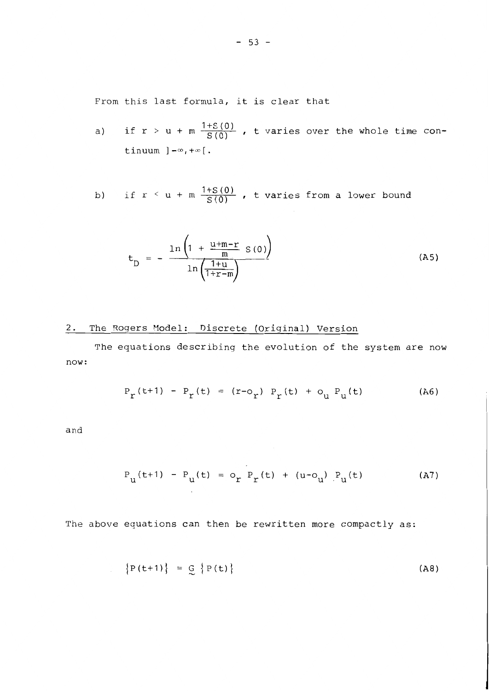From this last formula, it is clear that

- if  $r > u + m \frac{1+S(0)}{S(0)}$ , t varies over the whole time con $a)$ tinuum  $]-\infty, +\infty[$ .
- b) if  $r \le u + m \frac{1+S(0)}{S(0)}$ , t varies from a lower bound

$$
t_{D} = -\frac{\ln\left(1 + \frac{u+m-r}{m} S(0)\right)}{\ln\left(\frac{1+u}{1+r-m}\right)}
$$
(A5)

## 2. The Rogers Model: Discrete (Original) Version

The equations describing the evolution of the system are now now:

$$
P_r(t+1) - P_r(t) = (r - o_r) P_r(t) + o_u P_u(t)
$$
 (A6)

and

$$
P_{u}(t+1) - P_{u}(t) = o_{r} P_{r}(t) + (u-o_{u}) P_{u}(t)
$$
 (A7)

The above equations can then be rewritten more compactly as:

$$
\{P(t+1)\} = G \{P(t)\} \tag{A8}
$$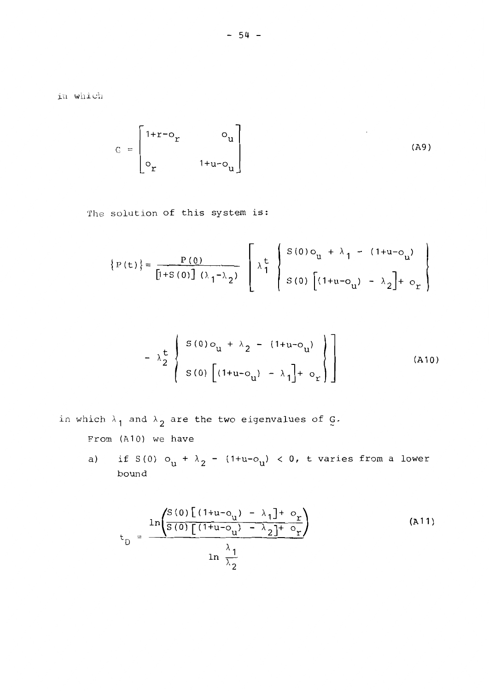in which

$$
G = \begin{bmatrix} 1+r-o_T & o_u \\ o_T & 1+u-o_u \end{bmatrix}
$$
 (A9)

The solution of this system is:

$$
\{P(t)\} = \frac{P(0)}{[1+S(0)] (\lambda_1 - \lambda_2)} \left[\lambda_1^t \begin{cases} S(0) o_u + \lambda_1 - (1+u - o_u) \\ S(0) [1+u - o_u] - \lambda_2 + o_r \end{cases}\right]
$$

$$
-\lambda_{2}^{t}\left\{\begin{array}{l}S(0)_{0_{u}+ \lambda_{2} - (1+u_{0_{u}})} \\ S(0) \left[ (1+u_{0_{u}}) - \lambda_{1} \right] + o_{r} \end{array}\right\}\right]
$$
(A10)

in which  $\lambda_1$  and  $\lambda_2$  are the two eigenvalues of G. From (A10) we have

> if  $S(0)$  o<sub>u</sub> +  $\lambda_2$  - (1+u-o<sub>u</sub>) < 0, t varies from a lower  $a)$ bound

$$
t_{D} = \frac{\ln\left(\frac{S(0)\left[(1+u-o_{U}) - \lambda_{1}\right] + o_{r}}{S(0)\left[(1+u-o_{U}) - \lambda_{2}\right] + o_{r}}\right)}{\ln\frac{\lambda_{1}}{\lambda_{2}}}
$$
(A11)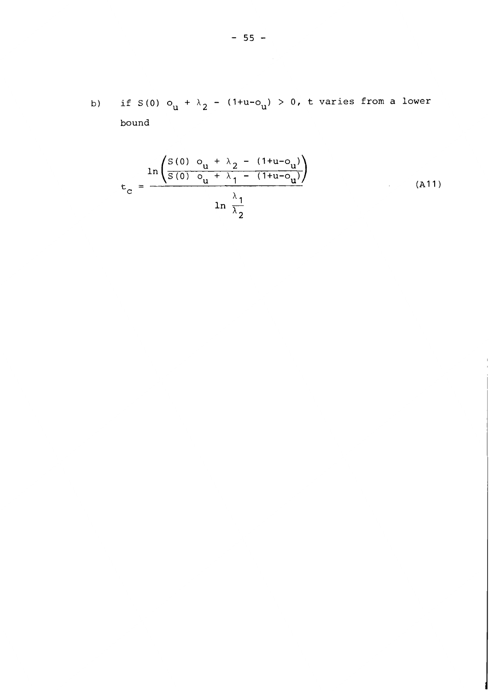if  $S(0)$  o<sub>u</sub> +  $\lambda_2$  - (1+u-o<sub>u</sub>) > 0, t varies from a lower  $b)$ bound

$$
t_{C} = \frac{\ln\left(\frac{S(0) o_{u} + \lambda_{2} - (1 + u - o_{u})}{S(0) o_{u} + \lambda_{1} - (1 + u - o_{u})}\right)}{\ln\frac{\lambda_{1}}{\lambda_{2}}}
$$
(A11)